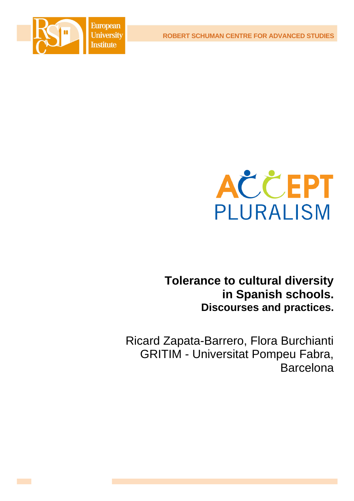**ROBERT SCHUMAN CENTRE FOR ADVANCED STUDIES**





**Tolerance to cultural diversity in Spanish schools. Discourses and practices.**

Ricard Zapata-Barrero, Flora Burchianti GRITIM - Universitat Pompeu Fabra, Barcelona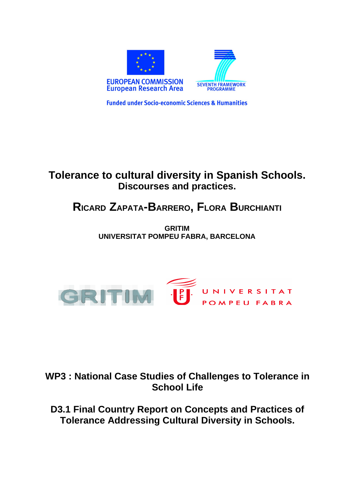



**Funded under Socio-economic Sciences & Humanities** 

# **Tolerance to cultural diversity in Spanish Schools. Discourses and practices.**

# **RICARD ZAPATA-BARRERO, FLORA BURCHIANTI**

**GRITIM UNIVERSITAT POMPEU FABRA, BARCELONA**



# **WP3 : National Case Studies of Challenges to Tolerance in School Life**

**D3.1 Final Country Report on Concepts and Practices of Tolerance Addressing Cultural Diversity in Schools.**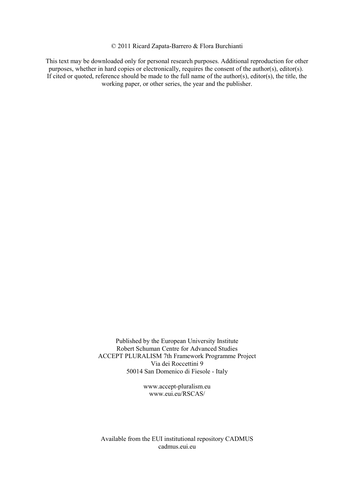### © 2011 Ricard Zapata-Barrero & Flora Burchianti

This text may be downloaded only for personal research purposes. Additional reproduction for other purposes, whether in hard copies or electronically, requires the consent of the author(s), editor(s). If cited or quoted, reference should be made to the full name of the author(s), editor(s), the title, the working paper, or other series, the year and the publisher.

> Published by the European University Institute Robert Schuman Centre for Advanced Studies ACCEPT PLURALISM 7th Framework Programme Project Via dei Roccettini 9 50014 San Domenico di Fiesole - Italy

> > www.accept-pluralism.eu www.eui.eu/RSCAS/

Available from the EUI institutional repository CADMUS cadmus.eui.eu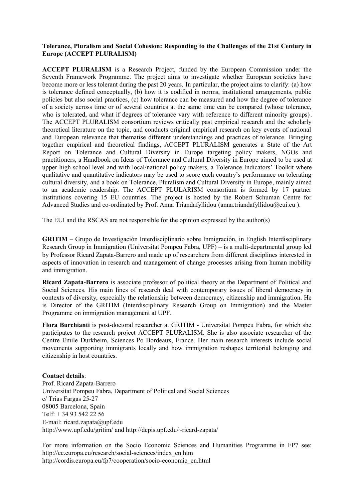## **Tolerance, Pluralism and Social Cohesion: Responding to the Challenges of the 21st Century in Europe (ACCEPT PLURALISM)**

**ACCEPT PLURALISM** is a Research Project, funded by the European Commission under the Seventh Framework Programme. The project aims to investigate whether European societies have become more or less tolerant during the past 20 years. In particular, the project aims to clarify: (a) how is tolerance defined conceptually, (b) how it is codified in norms, institutional arrangements, public policies but also social practices, (c) how tolerance can be measured and how the degree of tolerance of a society across time or of several countries at the same time can be compared (whose tolerance, who is tolerated, and what if degrees of tolerance vary with reference to different minority groups). The ACCEPT PLURALISM consortium reviews critically past empirical research and the scholarly theoretical literature on the topic, and conducts original empirical research on key events of national and European relevance that thematise different understandings and practices of tolerance. Bringing together empirical and theoretical findings, ACCEPT PLURALISM generates a State of the Art Report on Tolerance and Cultural Diversity in Europe targeting policy makers, NGOs and practitioners, a Handbook on Ideas of Tolerance and Cultural Diversity in Europe aimed to be used at upper high school level and with local/national policy makers, a Tolerance Indicators' Toolkit where qualitative and quantitative indicators may be used to score each country's performance on tolerating cultural diversity, and a book on Tolerance, Pluralism and Cultural Diversity in Europe, mainly aimed to an academic readership. The ACCEPT PLULARISM consortium is formed by 17 partner institutions covering 15 EU countries. The project is hosted by the Robert Schuman Centre for Advanced Studies and co-ordinated by Prof. Anna Triandafyllidou (anna.triandafyllidou@eui.eu).

The EUI and the RSCAS are not responsible for the opinion expressed by the author(s)

**GRITIM** – Grupo de Investigación Interdisciplinario sobre Inmigración, in English Interdisciplinary Research Group in Immigration (Universitat Pompeu Fabra, UPF) – is a multi-departmental group led by Professor Ricard Zapata-Barrero and made up of researchers from different disciplines interested in aspects of innovation in research and management of change processes arising from human mobility and immigration.

**Ricard Zapata-Barrero** is associate professor of political theory at the Department of Political and Social Sciences. His main lines of research deal with contemporary issues of liberal democracy in contexts of diversity, especially the relationship between democracy, citizenship and immigration. He is Director of the GRITIM (Interdisciplinary Research Group on Immigration) and the Master Programme on immigration management at UPF.

**Flora Burchianti** is post-doctoral researcher at GRITIM - Universitat Pompeu Fabra, for which she participates to the research project ACCEPT PLURALISM. She is also associate researcher of the Centre Emile Durkheim, Sciences Po Bordeaux, France. Her main research interests include social movements supporting immigrants locally and how immigration reshapes territorial belonging and citizenship in host countries.

**Contact details**:

Prof. Ricard Zapata-Barrero Universitat Pompeu Fabra, Department of Political and Social Sciences c/ Trias Fargas 25-27 08005 Barcelona, Spain Telf:  $+ 34935422256$ E-mail: [ricard.zapata@upf.edu](mailto:ricard.zapata@upf.edu) <http://www.upf.edu/gritim/> and<http://dcpis.upf.edu/~ricard-zapata/>

For more information on the Socio Economic Sciences and Humanities Programme in FP7 see: [http://ec.europa.eu/research/social-sciences/index\\_en.htm](http://ec.europa.eu/research/social-sciences/index_en.htm) [http://cordis.europa.eu/fp7/cooperation/socio-economic\\_en.html](http://cordis.europa.eu/fp7/cooperation/socio-economic_en.html)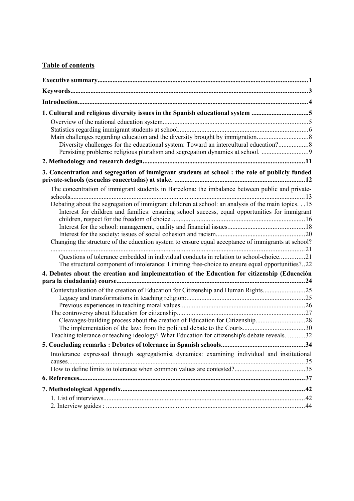# **Table of contents**

| 1. Cultural and religious diversity issues in the Spanish educational system 5                                                                                        |  |
|-----------------------------------------------------------------------------------------------------------------------------------------------------------------------|--|
|                                                                                                                                                                       |  |
|                                                                                                                                                                       |  |
|                                                                                                                                                                       |  |
| Diversity challenges for the educational system: Toward an intercultural education?<br>Persisting problems: religious pluralism and segregation dynamics at school. 9 |  |
|                                                                                                                                                                       |  |
|                                                                                                                                                                       |  |
| 3. Concentration and segregation of immigrant students at school: the role of publicly funded                                                                         |  |
| The concentration of immigrant students in Barcelona: the imbalance between public and private-                                                                       |  |
| Debating about the segregation of immigrant children at school: an analysis of the main topics.15                                                                     |  |
| Interest for children and families: ensuring school success, equal opportunities for immigrant                                                                        |  |
|                                                                                                                                                                       |  |
|                                                                                                                                                                       |  |
| Changing the structure of the education system to ensure equal acceptance of immigrants at school?                                                                    |  |
|                                                                                                                                                                       |  |
| Questions of tolerance embedded in individual conducts in relation to school-choice21                                                                                 |  |
| The structural component of intolerance: Limiting free-choice to ensure equal opportunities?22                                                                        |  |
| 4. Debates about the creation and implementation of the Education for citizenship (Educación                                                                          |  |
|                                                                                                                                                                       |  |
| Contextualisation of the creation of Education for Citizenship and Human Rights25                                                                                     |  |
|                                                                                                                                                                       |  |
|                                                                                                                                                                       |  |
|                                                                                                                                                                       |  |
| Cleavages-building process about the creation of Education for Citizenship28<br>The implementation of the law: from the political debate to the Courts30              |  |
| Teaching tolerance or teaching ideology? What Education for citizenship's debate reveals. 32                                                                          |  |
|                                                                                                                                                                       |  |
| Intolerance expressed through segregationist dynamics: examining individual and institutional                                                                         |  |
|                                                                                                                                                                       |  |
|                                                                                                                                                                       |  |
|                                                                                                                                                                       |  |
|                                                                                                                                                                       |  |
|                                                                                                                                                                       |  |
|                                                                                                                                                                       |  |
|                                                                                                                                                                       |  |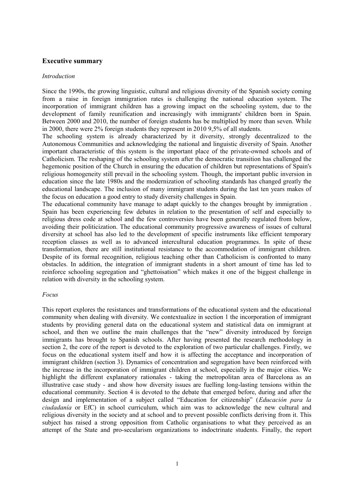## **Executive summary**

#### *Introduction*

Since the 1990s, the growing linguistic, cultural and religious diversity of the Spanish society coming from a raise in foreign immigration rates is challenging the national education system. The incorporation of immigrant children has a growing impact on the schooling system, due to the development of family reunification and increasingly with immigrants' children born in Spain. Between 2000 and 2010, the number of foreign students has be multiplied by more than seven. While in 2000, there were 2% foreign students they represent in 2010 9,5% of all students.

The schooling system is already characterized by it diversity, strongly decentralized to the Autonomous Communities and acknowledging the national and linguistic diversity of Spain. Another important characteristic of this system is the important place of the private-owned schools and of Catholicism. The reshaping of the schooling system after the democratic transition has challenged the hegemonic position of the Church in ensuring the education of children but representations of Spain's religious homogeneity still prevail in the schooling system. Though, the important public inversion in education since the late 1980s and the modernization of schooling standards has changed greatly the educational landscape. The inclusion of many immigrant students during the last ten years makes of the focus on education a good entry to study diversity challenges in Spain.

The educational community have manage to adapt quickly to the changes brought by immigration . Spain has been experiencing few debates in relation to the presentation of self and especially to religious dress code at school and the few controversies have been generally regulated from below, avoiding their politicization. The educational community progressive awareness of issues of cultural diversity at school has also led to the development of specific instruments like efficient temporary reception classes as well as to advanced intercultural education programmes. In spite of these transformation, there are still institutional resistance to the accommodation of immigrant children. Despite of its formal recognition, religious teaching other than Catholicism is confronted to many obstacles. In addition, the integration of immigrant students in a short amount of time has led to reinforce schooling segregation and "ghettoisation" which makes it one of the biggest challenge in relation with diversity in the schooling system.

#### *Focus*

This report explores the resistances and transformations of the educational system and the educational community when dealing with diversity. We contextualize in section 1 the incorporation of immigrant students by providing general data on the educational system and statistical data on immigrant at school, and then we outline the main challenges that the "new" diversity introduced by foreign immigrants has brought to Spanish schools. After having presented the research methodology in section 2, the core of the report is devoted to the exploration of two particular challenges. Firstly, we focus on the educational system itself and how it is affecting the acceptance and incorporation of immigrant children (section 3). Dynamics of concentration and segregation have been reinforced with the increase in the incorporation of immigrant children at school, especially in the major cities. We highlight the different explanatory rationales - taking the metropolitan area of Barcelona as an illustrative case study - and show how diversity issues are fuelling long-lasting tensions within the educational community. Section 4 is devoted to the debate that emerged before, during and after the design and implementation of a subject called "Education for citizenship" (*Educación para la ciudadanía* or EfC) in school curriculum, which aim was to acknowledge the new cultural and religious diversity in the society and at school and to prevent possible conflicts deriving from it. This subject has raised a strong opposition from Catholic organisations to what they perceived as an attempt of the State and pro-secularism organizations to indoctrinate students. Finally, the report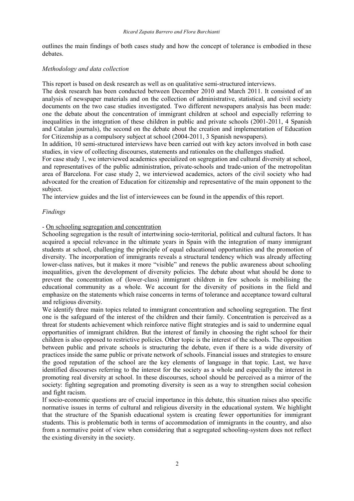outlines the main findings of both cases study and how the concept of tolerance is embodied in these debates.

### *Methodology and data collection*

This report is based on desk research as well as on qualitative semi-structured interviews.

The desk research has been conducted between December 2010 and March 2011. It consisted of an analysis of newspaper materials and on the collection of administrative, statistical, and civil society documents on the two case studies investigated. Two different newspapers analysis has been made: one the debate about the concentration of immigrant children at school and especially referring to inequalities in the integration of these children in public and private schools (2001-2011, 4 Spanish and Catalan journals), the second on the debate about the creation and implementation of Education for Citizenship as a compulsory subject at school (2004-2011, 3 Spanish newspapers).

In addition, 10 semi-structured interviews have been carried out with key actors involved in both case studies, in view of collecting discourses, statements and rationales on the challenges studied.

For case study 1, we interviewed academics specialized on segregation and cultural diversity at school, and representatives of the public administration, private-schools and trade-union of the metropolitan area of Barcelona. For case study 2, we interviewed academics, actors of the civil society who had advocated for the creation of Education for citizenship and representative of the main opponent to the subject.

The interview guides and the list of interviewees can be found in the appendix of this report.

### *Findings*

#### - On schooling segregation and concentration

Schooling segregation is the result of intertwining socio-territorial, political and cultural factors. It has acquired a special relevance in the ultimate years in Spain with the integration of many immigrant students at school, challenging the principle of equal educational opportunities and the promotion of diversity. The incorporation of immigrants reveals a structural tendency which was already affecting lower-class natives, but it makes it more "visible" and renews the public awareness about schooling inequalities, given the development of diversity policies. The debate about what should be done to prevent the concentration of (lower-class) immigrant children in few schools is mobilising the educational community as a whole. We account for the diversity of positions in the field and emphasize on the statements which raise concerns in terms of tolerance and acceptance toward cultural and religious diversity.

We identify three main topics related to immigrant concentration and schooling segregation. The first one is the safeguard of the interest of the children and their family. Concentration is perceived as a threat for students achievement which reinforce native flight strategies and is said to undermine equal opportunities of immigrant children. But the interest of family in choosing the right school for their children is also opposed to restrictive policies. Other topic is the interest of the schools. The opposition between public and private schools is structuring the debate, even if there is a wide diversity of practices inside the same public or private network of schools. Financial issues and strategies to ensure the good reputation of the school are the key elements of language in that topic. Last, we have identified discourses referring to the interest for the society as a whole and especially the interest in promoting real diversity at school. In these discourses, school should be perceived as a mirror of the society: fighting segregation and promoting diversity is seen as a way to strengthen social cohesion and fight racism.

If socio-economic questions are of crucial importance in this debate, this situation raises also specific normative issues in terms of cultural and religious diversity in the educational system. We highlight that the structure of the Spanish educational system is creating fewer opportunities for immigrant students. This is problematic both in terms of accommodation of immigrants in the country, and also from a normative point of view when considering that a segregated schooling-system does not reflect the existing diversity in the society.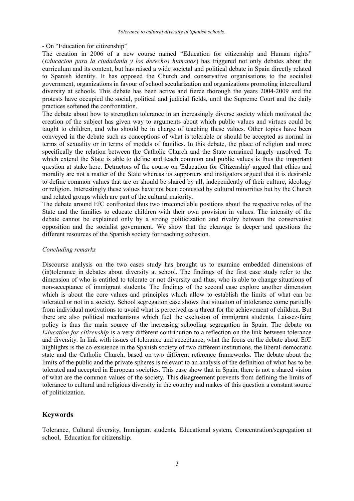### - On "Education for citizenship"

The creation in 2006 of a new course named "Education for citizenship and Human rights" (*Educacion para la ciudadanía y los derechos humanos*) has triggered not only debates about the curriculum and its content, but has raised a wide societal and political debate in Spain directly related to Spanish identity. It has opposed the Church and conservative organisations to the socialist government, organizations in favour of school secularization and organizations promoting intercultural diversity at schools. This debate has been active and fierce thorough the years 2004-2009 and the protests have occupied the social, political and judicial fields, until the Supreme Court and the daily practices softened the confrontation.

The debate about how to strengthen tolerance in an increasingly diverse society which motivated the creation of the subject has given way to arguments about which public values and virtues could be taught to children, and who should be in charge of teaching these values. Other topics have been conveyed in the debate such as conceptions of what is tolerable or should be accepted as normal in terms of sexuality or in terms of models of families. In this debate, the place of religion and more specifically the relation between the Catholic Church and the State remained largely unsolved. To which extend the State is able to define and teach common and public values is thus the important question at stake here. Detractors of the course on 'Education for Citizenship' argued that ethics and morality are not a matter of the State whereas its supporters and instigators argued that it is desirable to define common values that are or should be shared by all, independently of their culture, ideology or religion. Interestingly these values have not been contested by cultural minorities but by the Church and related groups which are part of the cultural majority.

The debate around EfC confronted thus two irreconcilable positions about the respective roles of the State and the families to educate children with their own provision in values. The intensity of the debate cannot be explained only by a strong politicization and rivalry between the conservative opposition and the socialist government. We show that the cleavage is deeper and questions the different resources of the Spanish society for reaching cohesion.

#### *Concluding remarks*

Discourse analysis on the two cases study has brought us to examine embedded dimensions of (in)tolerance in debates about diversity at school. The findings of the first case study refer to the dimension of who is entitled to tolerate or not diversity and thus, who is able to change situations of non-acceptance of immigrant students. The findings of the second case explore another dimension which is about the core values and principles which allow to establish the limits of what can be tolerated or not in a society. School segregation case shows that situation of intolerance come partially from individual motivations to avoid what is perceived as a threat for the achievement of children. But there are also political mechanisms which fuel the exclusion of immigrant students. Laissez-faire policy is thus the main source of the increasing schooling segregation in Spain. The debate on *Education for citizenship* is a very different contribution to a reflection on the link between tolerance and diversity. In link with issues of tolerance and acceptance, what the focus on the debate about EfC highlights is the co-existence in the Spanish society of two different institutions, the liberal-democratic state and the Catholic Church, based on two different reference frameworks. The debate about the limits of the public and the private spheres is relevant to an analysis of the definition of what has to be tolerated and accepted in European societies. This case show that in Spain, there is not a shared vision of what are the common values of the society. This disagreement prevents from defining the limits of tolerance to cultural and religious diversity in the country and makes of this question a constant source of politicization.

## **Keywords**

Tolerance, Cultural diversity, Immigrant students, Educational system, Concentration/segregation at school, Education for citizenship.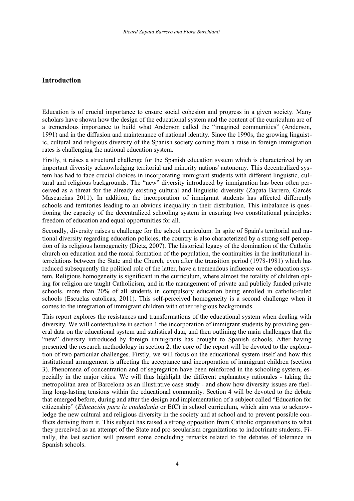### **Introduction**

Education is of crucial importance to ensure social cohesion and progress in a given society. Many scholars have shown how the design of the educational system and the content of the curriculum are of a tremendous importance to build what Anderson called the "imagined communities" (Anderson, 1991) and in the diffusion and maintenance of national identity. Since the 1990s, the growing linguistic, cultural and religious diversity of the Spanish society coming from a raise in foreign immigration rates is challenging the national education system.

Firstly, it raises a structural challenge for the Spanish education system which is characterized by an important diversity acknowledging territorial and minority nations' autonomy. This decentralized system has had to face crucial choices in incorporating immigrant students with different linguistic, cultural and religious backgrounds. The "new" diversity introduced by immigration has been often perceived as a threat for the already existing cultural and linguistic diversity (Zapata Barrero, Garcès Mascareñas 2011). In addition, the incorporation of immigrant students has affected differently schools and territories leading to an obvious inequality in their distribution. This imbalance is questioning the capacity of the decentralized schooling system in ensuring two constitutional principles: freedom of education and equal opportunities for all.

Secondly, diversity raises a challenge for the school curriculum. In spite of Spain's territorial and national diversity regarding education policies, the country is also characterized by a strong self-perception of its religious homogeneity (Dietz, 2007). The historical legacy of the domination of the Catholic church on education and the moral formation of the population, the continuities in the institutional interrelations between the State and the Church, even after the transition period (1978-1981) which has reduced subsequently the political role of the latter, have a tremendous influence on the education system. Religious homogeneity is significant in the curriculum, where almost the totality of children opting for religion are taught Catholicism, and in the management of private and publicly funded private schools, more than 20% of all students in compulsory education being enrolled in catholic-ruled schools (Escuelas catolicas, 2011). This self-perceived homogeneity is a second challenge when it comes to the integration of immigrant children with other religious backgrounds.

This report explores the resistances and transformations of the educational system when dealing with diversity. We will contextualize in section 1 the incorporation of immigrant students by providing general data on the educational system and statistical data, and then outlining the main challenges that the "new" diversity introduced by foreign immigrants has brought to Spanish schools. After having presented the research methodology in section 2, the core of the report will be devoted to the exploration of two particular challenges. Firstly, we will focus on the educational system itself and how this institutional arrangement is affecting the acceptance and incorporation of immigrant children (section 3). Phenomena of concentration and of segregation have been reinforced in the schooling system, especially in the major cities. We will thus highlight the different explanatory rationales - taking the metropolitan area of Barcelona as an illustrative case study - and show how diversity issues are fuelling long-lasting tensions within the educational community. Section 4 will be devoted to the debate that emerged before, during and after the design and implementation of a subject called "Education for citizenship" (*Educación para la ciudadanía* or EfC) in school curriculum, which aim was to acknowledge the new cultural and religious diversity in the society and at school and to prevent possible conflicts deriving from it. This subject has raised a strong opposition from Catholic organisations to what they perceived as an attempt of the State and pro-secularism organizations to indoctrinate students. Finally, the last section will present some concluding remarks related to the debates of tolerance in Spanish schools.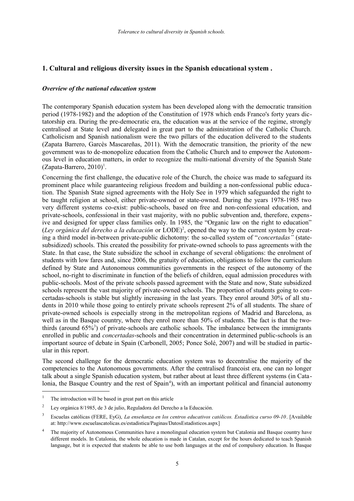## **1. Cultural and religious diversity issues in the Spanish educational system .**

#### *Overview of the national education system*

The contemporary Spanish education system has been developed along with the democratic transition period (1978-1982) and the adoption of the Constitution of 1978 which ends Franco's forty years dictatorship era. During the pre-democratic era, the education was at the service of the regime, strongly centralised at State level and delegated in great part to the administration of the Catholic Church. Catholicism and Spanish nationalism were the two pillars of the education delivered to the students (Zapata Barrero, Garcès Mascareñas, 2011). With the democratic transition, the priority of the new government was to de-monopolize education from the Catholic Church and to empower the Autonomous level in education matters, in order to recognize the multi-national diversity of the Spanish State  $(Zapata-Barrero, 2010)^{1}$  $(Zapata-Barrero, 2010)^{1}$  $(Zapata-Barrero, 2010)^{1}$ .

Concerning the first challenge, the educative role of the Church, the choice was made to safeguard its prominent place while guaranteeing religious freedom and building a non-confessional public education. The Spanish State signed agreements with the Holy See in 1979 which safeguarded the right to be taught religion at school, either private-owned or state-owned. During the years 1978-1985 two very different systems co-exist: public-schools, based on free and non-confessional education, and private-schools, confessional in their vast majority, with no public subvention and, therefore, expensive and designed for upper class families only. In 1985, the "Organic law on the right to education" (*Ley orgánica del derecho a la educación* or LODE)[2](#page-10-1) , opened the way to the current system by creating a third model in-between private-public dichotomy: the so-called system of "*concertadas"* (statesubsidized) schools. This created the possibility for private-owned schools to pass agreements with the State. In that case, the State subsidize the school in exchange of several obligations: the enrolment of students with low fares and, since 2006, the gratuity of education, obligations to follow the curriculum defined by State and Autonomous communities governments in the respect of the autonomy of the school, no-right to discriminate in function of the beliefs of children, equal admission procedures with public-schools. Most of the private schools passed agreement with the State and now, State subsidized schools represent the vast majority of private-owned schools. The proportion of students going to concertadas-schools is stable but slightly increasing in the last years. They enrol around 30% of all students in 2010 while those going to entirely private schools represent 2% of all students. The share of private-owned schools is especially strong in the metropolitan regions of Madrid and Barcelona, as well as in the Basque country, where they enrol more than 50% of students. The fact is that the two-thirds (around 65%<sup>[3](#page-10-2)</sup>) of private-schools are catholic schools. The imbalance between the immigrants enrolled in public and *concertadas*-schools and their concentration in determined public-schools is an important source of debate in Spain (Carbonell, 2005; Ponce Solé, 2007) and will be studied in particular in this report.

The second challenge for the democratic education system was to decentralise the majority of the competencies to the Autonomous governments. After the centralised francoist era, one can no longer talk about a single Spanish education system, but rather about at least three different systems (in Cata-lonia, the Basque Country and the rest of Spain<sup>[4](#page-10-3)</sup>), with an important political and financial autonomy

<span id="page-10-0"></span><sup>1</sup> The introduction will be based in great part on this article

<span id="page-10-1"></span><sup>2</sup> Ley orgánica 8/1985, de 3 de julio, Reguladora del Derecho a la Educación.

<span id="page-10-2"></span><sup>3</sup> Escuelas católicas (FERE, EyG), *La enseñanza en los centros educativos católicos. Estadística curso 09-10*. [Available at: [http://www.escuelascatolicas.es/estadistica/Paginas/DatosEstadisticos.aspx\]](http://www.escuelascatolicas.es/estadistica/Paginas/DatosEstadisticos.aspx)

<span id="page-10-3"></span><sup>4</sup> The majority of Autonomous Communities have a monolingual education system but Catalonia and Basque country have different models. In Catalonia, the whole education is made in Catalan, except for the hours dedicated to teach Spanish language, but it is expected that students be able to use both languages at the end of compulsory education. In Basque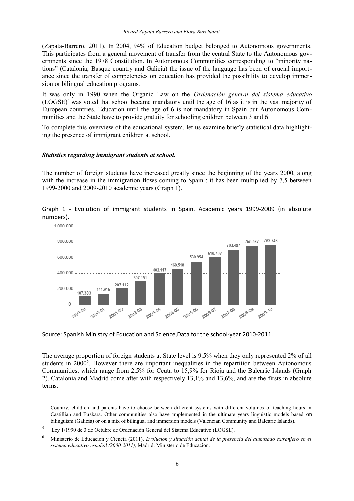(Zapata-Barrero, 2011). In 2004, 94% of Education budget belonged to Autonomous governments. This participates from a general movement of transfer from the central State to the Autonomous governments since the 1978 Constitution. In Autonomous Communities corresponding to "minority nations" (Catalonia, Basque country and Galicia) the issue of the language has been of crucial importance since the transfer of competencies on education has provided the possibility to develop immersion or bilingual education programs.

It was only in 1990 when the Organic Law on the *Ordenación general del sistema educativo*  $(LOGSE)^5$  $(LOGSE)^5$  was voted that school became mandatory until the age of 16 as it is in the vast majority of European countries. Education until the age of 6 is not mandatory in Spain but Autonomous Communities and the State have to provide gratuity for schooling children between 3 and 6.

To complete this overview of the educational system, let us examine briefly statistical data highlighting the presence of immigrant children at school.

#### *Statistics regarding immigrant students at school.*

The number of foreign students have increased greatly since the beginning of the years 2000, along with the increase in the immigration flows coming to Spain : it has been multiplied by 7.5 between 1999-2000 and 2009-2010 academic years (Graph 1).





Source: Spanish Ministry of Education and Science,Data for the school-year 2010-2011.

The average proportion of foreign students at State level is 9.5% when they only represented 2% of all students in 2000<sup>[6](#page-11-1)</sup>. However there are important inequalities in the repartition between Autonomous Communities, which range from 2,5% for Ceuta to 15,9% for Rioja and the Balearic Islands (Graph 2). Catalonia and Madrid come after with respectively 13,1% and 13,6%, and are the firsts in absolute terms.

Country, children and parents have to choose between different systems with different volumes of teaching hours in Castillian and Euskara. Other communities also have implemented in the ultimate years linguistic models based on bilinguism (Galicia) or on a mix of bilingual and immersion models (Valencian Community and Balearic Islands).

<span id="page-11-0"></span><sup>5</sup> Ley 1/1990 de 3 de Octubre de Ordenación General del Sistema Educativo (LOGSE).

<span id="page-11-1"></span><sup>6</sup> Ministerio de Educacion y Ciencia (2011), *Evolución y situación actual de la presencia del alumnado extranjero en el sistema educativo español (2000-2011)*, Madrid: Ministerio de Educacion.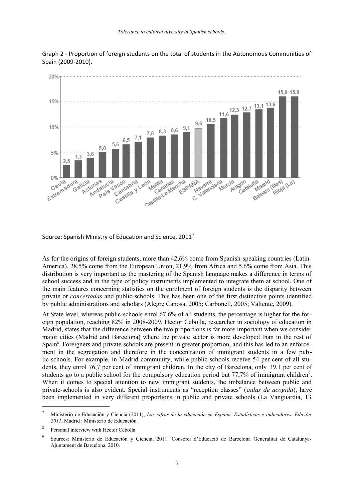

Graph 2 - Proportion of foreign students on the total of students in the Autonomous Communities of Spain (2009-2010).

Source: Spanish Ministry of Education and Science, 2011[7](#page-12-0)

As for the origins of foreign students, more than 42,6% come from Spanish-speaking countries (Latin-America), 28,5% come from the European Union, 21,9% from Africa and 5,6% come from Asia. This distribution is very important as the mastering of the Spanish language makes a difference in terms of school success and in the type of policy instruments implemented to integrate them at school. One of the main features concerning statistics on the enrolment of foreign students is the disparity between private or *concertadas* and public-schools. This has been one of the first distinctive points identified by public administrations and scholars (Alegre Canosa, 2005; Carbonell, 2005; Valiente, 2009).

At State level, whereas public-schools enrol 67,6% of all students, the percentage is higher for the foreign population, reaching 82% in 2008-2009. Hector Cebolla, researcher in sociology of education in Madrid, states that the difference between the two proportions is far more important when we consider major cities (Madrid and Barcelona) where the private sector is more developed than in the rest of Spain<sup>[8](#page-12-1)</sup>. Foreigners and private-schools are present in greater proportion, and this has led to an enforcement in the segregation and therefore in the concentration of immigrant students in a few public-schools. For example, in Madrid community, while public-schools receive 54 per cent of all students, they enrol 76,7 per cent of immigrant children. In the city of Barcelona, only 39,1 per cent of students go to a public school for the compulsory education period but 77,7% of immigrant children<sup>[9](#page-12-2)</sup>. When it comes to special attention to new immigrant students, the imbalance between public and private-schools is also evident. Special instruments as "reception classes" (*aulas de acogida*), have been implemented in very different proportions in public and private schools (La Vanguardia, 13

<span id="page-12-0"></span><sup>7</sup> Ministerio de Educación y Ciencia (2011), *Las cifras de la educación en España. Estadísticas e indicadores. Edición 2011*, Madrid : Ministerio de Educación.

<span id="page-12-1"></span><sup>8</sup> Personal interview with Hector Cebolla.

<span id="page-12-2"></span><sup>9</sup> Sources: Ministerio de Educación y Ciencia, 2011; Consorci d'Educació de Barcelona Generalitat de Catalunya-Ajuntament de Barcelona, 2010.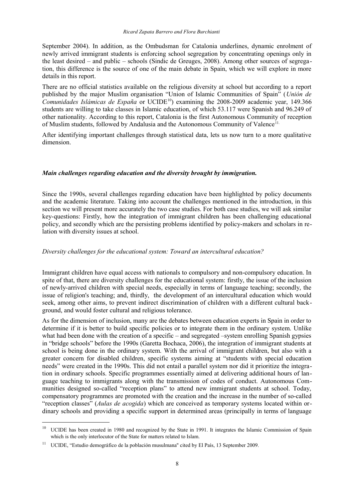September 2004). In addition, as the Ombudsman for Catalonia underlines, dynamic enrolment of newly arrived immigrant students is enforcing school segregation by concentrating openings only in the least desired – and public – schools (Sindic de Greuges, 2008). Among other sources of segrega tion, this difference is the source of one of the main debate in Spain, which we will explore in more details in this report.

There are no official statistics available on the religious diversity at school but according to a report published by the major Muslim organisation "Union of Islamic Communities of Spain" (*Unión de Comunidades Islámicas de España* or UCIDE[10](#page-13-0)) examining the 2008-2009 academic year, 149.366 students are willing to take classes in Islamic education, of which 53.117 were Spanish and 96.249 of other nationality. According to this report, Catalonia is the first Autonomous Community of reception of Muslim students, followed by Andalusia and the Autonomous Community of Valence<sup>[11.](#page-13-1)</sup>

After identifying important challenges through statistical data, lets us now turn to a more qualitative dimension.

### *Main challenges regarding education and the diversity brought by immigration.*

Since the 1990s, several challenges regarding education have been highlighted by policy documents and the academic literature. Taking into account the challenges mentioned in the introduction, in this section we will present more accurately the two case studies. For both case studies, we will ask similar key-questions: Firstly, how the integration of immigrant children has been challenging educational policy, and secondly which are the persisting problems identified by policy-makers and scholars in relation with diversity issues at school.

### *Diversity challenges for the educational system: Toward an intercultural education?*

Immigrant children have equal access with nationals to compulsory and non-compulsory education. In spite of that, there are diversity challenges for the educational system: firstly, the issue of the inclusion of newly-arrived children with special needs, especially in terms of language teaching; secondly, the issue of religion's teaching; and, thirdly, the development of an intercultural education which would seek, among other aims, to prevent indirect discrimination of children with a different cultural background, and would foster cultural and religious tolerance.

As for the dimension of inclusion, many are the debates between education experts in Spain in order to determine if it is better to build specific policies or to integrate them in the ordinary system. Unlike what had been done with the creation of a specific – and segregated –system enrolling Spanish gypsies in "bridge schools" before the 1990s (Garetta Bochaca, 2006), the integration of immigrant students at school is being done in the ordinary system. With the arrival of immigrant children, but also with a greater concern for disabled children, specific systems aiming at "students with special education needs" were created in the 1990s. This did not entail a parallel system nor did it prioritize the integration in ordinary schools. Specific programmes essentially aimed at delivering additional hours of language teaching to immigrants along with the transmission of codes of conduct. Autonomous Communities designed so-called "reception plans" to attend new immigrant students at school. Today, compensatory programmes are promoted with the creation and the increase in the number of so-called "reception classes" (*Aulas de acogida*) which are conceived as temporary systems located within ordinary schools and providing a specific support in determined areas (principally in terms of language

<span id="page-13-0"></span><sup>&</sup>lt;sup>10</sup> UCIDE has been created in 1980 and recognized by the State in 1991. It integrates the Islamic Commission of Spain which is the only interlocutor of the State for matters related to Islam.

<span id="page-13-1"></span><sup>&</sup>lt;sup>11</sup> UCIDE, "Estudio demográfico de la población musulmana" cited by El País, 13 September 2009.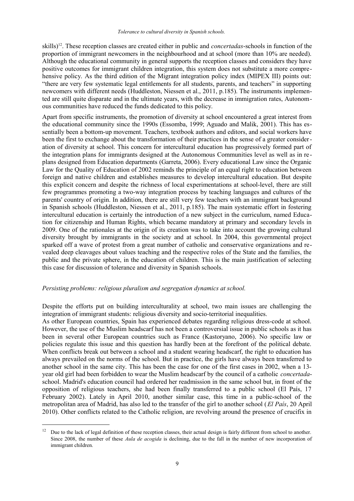skills)<sup>[12](#page-14-0)</sup>. These reception classes are created either in public and *concertadas*-schools in function of the proportion of immigrant newcomers in the neighbourhood and at school (more than 10% are needed). Although the educational community in general supports the reception classes and considers they have positive outcomes for immigrant children integration, this system does not substitute a more comprehensive policy. As the third edition of the Migrant integration policy index (MIPEX III) points out: "there are very few systematic legal entitlements for all students, parents, and teachers" in supporting newcomers with different needs (Huddleston, Niessen et al., 2011, p.185). The instruments implemented are still quite disparate and in the ultimate years, with the decrease in immigration rates, Autonomous communities have reduced the funds dedicated to this policy.

Apart from specific instruments, the promotion of diversity at school encountered a great interest from the educational community since the 1990s (Essomba, 1999; Aguado and Malik, 2001). This has essentially been a bottom-up movement. Teachers, textbook authors and editors, and social workers have been the first to exchange about the transformation of their practices in the sense of a greater consideration of diversity at school. This concern for intercultural education has progressively formed part of the integration plans for immigrants designed at the Autonomous Communities level as well as in re plans designed from Education departments (Garreta, 2006). Every educational Law since the Organic Law for the Quality of Education of 2002 reminds the principle of an equal right to education between foreign and native children and establishes measures to develop intercultural education. But despite this explicit concern and despite the richness of local experimentations at school-level, there are still few programmes promoting a two-way integration process by teaching languages and cultures of the parents' country of origin. In addition, there are still very few teachers with an immigrant background in Spanish schools (Huddleston, Niessen et al., 2011, p.185). The main systematic effort in fostering intercultural education is certainly the introduction of a new subject in the curriculum, named Education for citizenship and Human Rights, which became mandatory at primary and secondary levels in 2009. One of the rationales at the origin of its creation was to take into account the growing cultural diversity brought by immigrants in the society and at school. In 2004, this governmental project sparked off a wave of protest from a great number of catholic and conservative organizations and revealed deep cleavages about values teaching and the respective roles of the State and the families, the public and the private sphere, in the education of children. This is the main justification of selecting this case for discussion of tolerance and diversity in Spanish schools.

#### *Persisting problems: religious pluralism and segregation dynamics at school.*

Despite the efforts put on building interculturality at school, two main issues are challenging the integration of immigrant students: religious diversity and socio-territorial inequalities.

As other European countries, Spain has experienced debates regarding religious dress-code at school. However, the use of the Muslim headscarf has not been a controversial issue in public schools as it has been in several other European countries such as France (Kastoryano, 2006). No specific law or policies regulate this issue and this question has hardly been at the forefront of the political debate. When conflicts break out between a school and a student wearing headscarf, the right to education has always prevailed on the norms of the school. But in practice, the girls have always been transferred to another school in the same city. This has been the case for one of the first cases in 2002, when a 13 year old girl had been forbidden to wear the Muslim headscarf by the council of a catholic *concertada*school. Madrid's education council had ordered her readmission in the same school but, in front of the opposition of religious teachers, she had been finally transferred to a public school (El País, 17 February 2002). Lately in April 2010, another similar case, this time in a public-school of the metropolitan area of Madrid, has also led to the transfer of the girl to another school (*El País*, 20 April 2010). Other conflicts related to the Catholic religion, are revolving around the presence of crucifix in

<span id="page-14-0"></span><sup>&</sup>lt;sup>12</sup> Due to the lack of legal definition of these reception classes, their actual design is fairly different from school to another. Since 2008, the number of these *Aula de acogida* is declining, due to the fall in the number of new incorporation of immigrant children.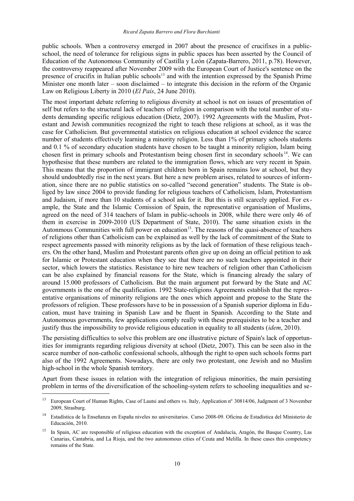public schools. When a controversy emerged in 2007 about the presence of crucifixes in a publicschool, the need of tolerance for religious signs in public spaces has been asserted by the Council of Education of the Autonomous Community of Castilla y León (Zapata-Barrero, 2011, p.78). However, the controversy reappeared after November 2009 with the European Court of Justice's sentence on the presence of crucifix in Italian public schools<sup>[13](#page-15-0)</sup> and with the intention expressed by the Spanish Prime Minister one month later – soon disclaimed – to integrate this decision in the reform of the Organic Law on Religious Liberty in 2010 (*El País*, 24 June 2010).

The most important debate referring to religious diversity at school is not on issues of presentation of self but refers to the structural lack of teachers of religion in comparison with the total number of students demanding specific religious education (Dietz, 2007). 1992 Agreements with the Muslim, Protestant and Jewish communities recognized the right to teach these religions at school, as it was the case for Catholicism. But governmental statistics on religious education at school evidence the scarce number of students effectively learning a minority religion. Less than 1% of primary schools students and 0.1 % of secondary education students have chosen to be taught a minority religion, Islam being chosen first in primary schools and Protestantism being chosen first in secondary schools [14](#page-15-1). We can hypothesise that these numbers are related to the immigration flows, which are very recent in Spain. This means that the proportion of immigrant children born in Spain remains low at school, but they should undoubtedly rise in the next years. But here a new problem arises, related to sources of information, since there are no public statistics on so-called "second generation" students. The State is obliged by law since 2004 to provide funding for religious teachers of Catholicism, Islam, Protestantism and Judaism, if more than 10 students of a school ask for it. But this is still scarcely applied. For example, the State and the Islamic Comission of Spain, the representative organisation of Muslims, agreed on the need of 314 teachers of Islam in public-schools in 2008, while there were only 46 of them in exercise in 2009-2010 (US Department of State, 2010). The same situation exists in the Autonmous Communities with full power on education<sup>[15](#page-15-2)</sup>. The reasons of the quasi-absence of teachers of religions other than Catholicism can be explained as well by the lack of commitment of the State to respect agreements passed with minority religions as by the lack of formation of these religious teachers. On the other hand, Muslim and Protestant parents often give up on doing an official petition to ask for Islamic or Protestant education when they see that there are no such teachers appointed in their sector, which lowers the statistics. Resistance to hire new teachers of religion other than Catholicism can be also explained by financial reasons for the State, which is financing already the salary of around 15.000 professors of Catholicism. But the main argument put forward by the State and AC governments is the one of the qualification. 1992 State-religions Agreements establish that the representative organisations of minority religions are the ones which appoint and propose to the State the professors of religion. These professors have to be in possession of a Spanish superior diploma in Education, must have training in Spanish Law and be fluent in Spanish. According to the State and Autonomous governments, few applications comply really with these prerequisites to be a teacher and justify thus the impossibility to provide religious education in equality to all students (*idem*, 2010).

The persisting difficulties to solve this problem are one illustrative picture of Spain's lack of opportunities for immigrants regarding religious diversity at school (Dietz, 2007). This can be seen also in the scarce number of non-catholic confessional schools, although the right to open such schools forms part also of the 1992 Agreements. Nowadays, there are only two protestant, one Jewish and no Muslim high-school in the whole Spanish territory.

Apart from these issues in relation with the integration of religious minorities, the main persisting problem in terms of the diversification of the schooling-system refers to schooling inequalities and se-

<span id="page-15-0"></span><sup>&</sup>lt;sup>13</sup> European Court of Human Rights, Case of Lautsi and others vs. Italy, Application n° 30814/06, Judgment of 3 November 2009, Strasburg.

<span id="page-15-1"></span><sup>14</sup> Estadística de la Enseñanza en España niveles no universitarios. Curso 2008-09. Oficina de Estadística del Ministerio de Educación, 2010.

<span id="page-15-2"></span><sup>15</sup> In Spain, AC are responsible of religious education with the exception of Andalucía, Aragón, the Basque Country, Las Canarias, Cantabria, and La Rioja, and the two autonomous cities of Ceuta and Melilla. In these cases this competency remains of the State.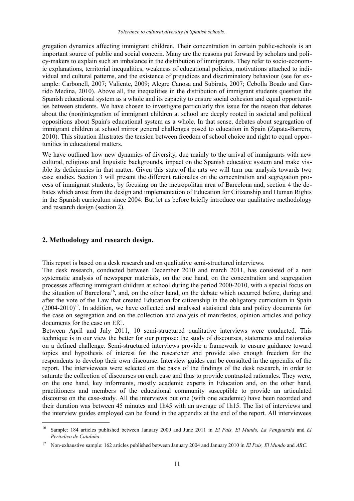gregation dynamics affecting immigrant children. Their concentration in certain public-schools is an important source of public and social concern. Many are the reasons put forward by scholars and policy-makers to explain such an imbalance in the distribution of immigrants. They refer to socio-economic explanations, territorial inequalities, weakness of educational policies, motivations attached to individual and cultural patterns, and the existence of prejudices and discriminatory behaviour (see for example: Carbonell, 2007; Valiente, 2009; Alegre Canosa and Subirats, 2007; Cebolla Boado and Garrido Medina, 2010). Above all, the inequalities in the distribution of immigrant students question the Spanish educational system as a whole and its capacity to ensure social cohesion and equal opportunities between students. We have chosen to investigate particularly this issue for the reason that debates about the (non)integration of immigrant children at school are deeply rooted in societal and political oppositions about Spain's educational system as a whole. In that sense, debates about segregation of immigrant children at school mirror general challenges posed to education in Spain (Zapata-Barrero, 2010). This situation illustrates the tension between freedom of school choice and right to equal opportunities in educational matters.

We have outlined how new dynamics of diversity, due mainly to the arrival of immigrants with new cultural, religious and linguistic backgrounds, impact on the Spanish educative system and make visible its deficiencies in that matter. Given this state of the arts we will turn our analysis towards two case studies. Section 3 will present the different rationales on the concentration and segregation process of immigrant students, by focusing on the metropolitan area of Barcelona and, section 4 the debates which arose from the design and implementation of Education for Citizenship and Human Rights in the Spanish curriculum since 2004. But let us before briefly introduce our qualitative methodology and research design (section 2).

## **2. Methodology and research design.**

This report is based on a desk research and on qualitative semi-structured interviews.

The desk research, conducted between December 2010 and march 2011, has consisted of a non systematic analysis of newspaper materials, on the one hand, on the concentration and segregation processes affecting immigrant children at school during the period 2000-2010, with a special focus on the situation of Barcelona<sup>[16](#page-16-0)</sup>, and, on the other hand, on the debate which occurred before, during and after the vote of the Law that created Education for citizenship in the obligatory curriculum in Spain  $(2004-2010)^{17}$  $(2004-2010)^{17}$  $(2004-2010)^{17}$ . In addition, we have collected and analysed statistical data and policy documents for the case on segregation and on the collection and analysis of manifestos, opinion articles and policy documents for the case on EfC.

Between April and July 2011, 10 semi-structured qualitative interviews were conducted. This technique is in our view the better for our purpose: the study of discourses, statements and rationales on a defined challenge. Semi-structured interviews provide a framework to ensure guidance toward topics and hypothesis of interest for the researcher and provide also enough freedom for the respondents to develop their own discourse. Interview guides can be consulted in the appendix of the report. The interviewees were selected on the basis of the findings of the desk research, in order to saturate the collection of discourses on each case and thus to provide contrasted rationales. They were, on the one hand, key informants, mostly academic experts in Education and, on the other hand, practitioners and members of the educational community susceptible to provide an articulated discourse on the case-study. All the interviews but one (with one academic) have been recorded and their duration was between 45 minutes and 1h45 with an average of 1h15. The list of interviews and the interview guides employed can be found in the appendix at the end of the report. All interviewees

<span id="page-16-0"></span><sup>16</sup> Sample: 184 articles published between January 2000 and June 2011 in *El Pais, El Mundo, La Vanguardia* and *El Periodico de Cataluña.*

<span id="page-16-1"></span><sup>17</sup> Non-exhaustive sample: 162 articles published between January 2004 and January 2010 in *El Pais, El Mundo* and *ABC*.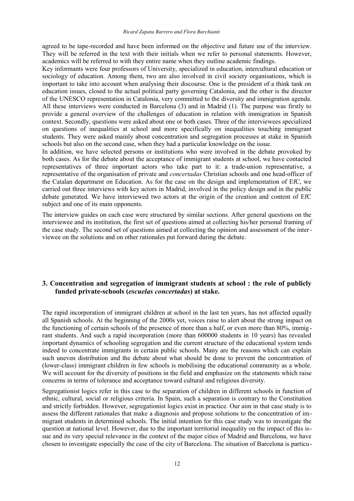agreed to be tape-recorded and have been informed on the objective and future use of the interview. They will be referred in the text with their initials when we refer to personal statements. However, academics will be referred to with they entire name when they outline academic findings.

Key informants were four professors of University, specialized in education, intercultural education or sociology of education. Among them, two are also involved in civil society organisations, which is important to take into account when analysing their discourse. One is the president of a think tank on education issues, closed to the actual political party governing Catalonia, and the other is the director of the UNESCO representation in Catalonia, very committed to the diversity and immigration agenda. All these interviews were conducted in Barcelona (3) and in Madrid (1). The purpose was firstly to provide a general overview of the challenges of education in relation with immigration in Spanish context. Secondly, questions were asked about one or both cases. Three of the interviewees specialized on questions of inequalities at school and more specifically on inequalities touching immigrant students. They were asked mainly about concentration and segregation processes at stake in Spanish schools but also on the second case, when they had a particular knowledge on the issue.

In addition, we have selected persons or institutions who were involved in the debate provoked by both cases. As for the debate about the acceptance of immigrant students at school, we have contacted representatives of three important actors who take part to it: a trade-union representative, a representative of the organisation of private and *concertadas* Christian schools and one head-officer of the Catalan department on Education. As for the case on the design and implementation of EfC, we carried out three interviews with key actors in Madrid, involved in the policy design and in the public debate generated. We have interviewed two actors at the origin of the creation and content of EfC subject and one of its main opponents.

The interview guides on each case were structured by similar sections. After general questions on the interviewee and its institution, the first set of questions aimed at collecting his/her personal framing of the case study. The second set of questions aimed at collecting the opinion and assessment of the interviewee on the solutions and on other rationales put forward during the debate.

## **3. Concentration and segregation of immigrant students at school : the role of publicly funded private-schools (***escuelas concertadas***) at stake.**

The rapid incorporation of immigrant children at school in the last ten years, has not affected equally all Spanish schools. At the beginning of the 2000s yet, voices raise to alert about the strong impact on the functioning of certain schools of the presence of more than a half, or even more than 80%, immig rant students. And such a rapid incorporation (more than 600000 students in 10 years) has revealed important dynamics of schooling segregation and the current structure of the educational system tends indeed to concentrate immigrants in certain public schools. Many are the reasons which can explain such uneven distribution and the debate about what should be done to prevent the concentration of (lower-class) immigrant children in few schools is mobilising the educational community as a whole. We will account for the diversity of positions in the field and emphasize on the statements which raise concerns in terms of tolerance and acceptance toward cultural and religious diversity.

Segregationist logics refer in this case to the separation of children in different schools in function of ethnic, cultural, social or religious criteria. In Spain, such a separation is contrary to the Constitution and strictly forbidden. However, segregationist logics exist in practice. Our aim in that case study is to assess the different rationales that make a diagnosis and propose solutions to the concentration of immigrant students in determined schools. The initial intention for this case study was to investigate the question at national level. However, due to the important territorial inequality on the impact of this issue and its very special relevance in the context of the major cities of Madrid and Barcelona, we have chosen to investigate especially the case of the city of Barcelona. The situation of Barcelona is particu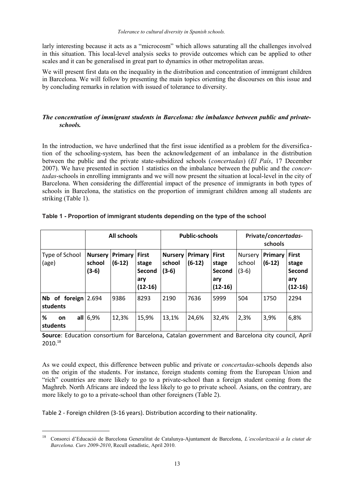larly interesting because it acts as a "microcosm" which allows saturating all the challenges involved in this situation. This local-level analysis seeks to provide outcomes which can be applied to other scales and it can be generalised in great part to dynamics in other metropolitan areas.

We will present first data on the inequality in the distribution and concentration of immigrant children in Barcelona. We will follow by presenting the main topics orienting the discourses on this issue and by concluding remarks in relation with issued of tolerance to diversity.

## *The concentration of immigrant students in Barcelona: the imbalance between public and privateschools.*

In the introduction, we have underlined that the first issue identified as a problem for the diversification of the schooling-system, has been the acknowledgement of an imbalance in the distribution between the public and the private state-subsidized schools (*concertadas*) (*El País*, 17 December 2007). We have presented in section 1 statistics on the imbalance between the public and the *concertadas*-schools in enrolling immigrants and we will now present the situation at local-level in the city of Barcelona. When considering the differential impact of the presence of immigrants in both types of schools in Barcelona, the statistics on the proportion of immigrant children among all students are striking (Table 1).

|                                   |                                     | <b>All schools</b>  |                                                     | <b>Public-schools</b>               |                     | Private/concertadas-<br>schools                     |                                     |                     |                                                     |
|-----------------------------------|-------------------------------------|---------------------|-----------------------------------------------------|-------------------------------------|---------------------|-----------------------------------------------------|-------------------------------------|---------------------|-----------------------------------------------------|
| Type of School<br>(age)           | <b>Nursery</b><br>school<br>$(3-6)$ | Primary<br>$(6-12)$ | <b>First</b><br>stage<br>Second<br>ary<br>$(12-16)$ | <b>Nursery</b><br>school<br>$(3-6)$ | Primary<br>$(6-12)$ | <b>First</b><br>stage<br>Second<br>ary<br>$(12-16)$ | <b>Nursery</b><br>school<br>$(3-6)$ | Primary<br>$(6-12)$ | <b>First</b><br>stage<br>Second<br>ary<br>$(12-16)$ |
| Nb of foreign $2.694$<br>students |                                     | 9386                | 8293                                                | 2190                                | 7636                | 5999                                                | 504                                 | 1750                | 2294                                                |
| %<br>all<br>on<br>students        | 6,9%                                | 12,3%               | 15,9%                                               | 13,1%                               | 24,6%               | 32,4%                                               | 2,3%                                | 3,9%                | 6,8%                                                |

## **Table 1 - Proportion of immigrant students depending on the type of the school**

**Source**: Education consortium for Barcelona, Catalan government and Barcelona city council, April 2010.[18](#page-18-0)

As we could expect, this difference between public and private or *concertadas*-schools depends also on the origin of the students. For instance, foreign students coming from the European Union and "rich" countries are more likely to go to a private-school than a foreign student coming from the Maghreb. North Africans are indeed the less likely to go to private school. Asians, on the contrary, are more likely to go to a private-school than other foreigners (Table 2).

Table 2 - Foreign children (3-16 years). Distribution according to their nationality.

<span id="page-18-0"></span><sup>18</sup> Consorci d'Educació de Barcelona Generalitat de Catalunya-Ajuntament de Barcelona, *L'escolarització a la ciutat de Barcelona. Curs 2009-2010*, Recull estadístic, April 2010.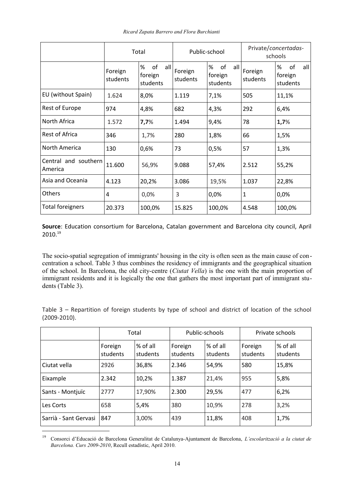*Ricard Zapata Barrero and Flora Burchianti*

|                                 |                     | Total                                 | Public-school       |                                       | Private/concertadas-<br>schools |                                       |
|---------------------------------|---------------------|---------------------------------------|---------------------|---------------------------------------|---------------------------------|---------------------------------------|
|                                 | Foreign<br>students | of<br>%<br>all<br>foreign<br>students | Foreign<br>students | of<br>%<br>all<br>foreign<br>students | Foreign<br>students             | of<br>all<br>%<br>foreign<br>students |
| EU (without Spain)              | 1.624               | 8,0%                                  | 1.119               | 7,1%                                  | 505                             | 11,1%                                 |
| Rest of Europe                  | 974                 | 4,8%                                  | 682                 | 4,3%                                  | 292                             | 6,4%                                  |
| North Africa                    | 1.572               | 7,7%                                  | 1.494               | 9,4%                                  | 78                              | 1,7%                                  |
| Rest of Africa                  | 346                 | 1,7%                                  | 280                 | 1,8%                                  | 66                              | 1,5%                                  |
| North America                   | 130                 | 0,6%                                  | 73                  | 0,5%                                  | 57                              | 1,3%                                  |
| Central and southern<br>America | 11.600              | 56,9%                                 | 9.088               | 57,4%                                 | 2.512                           | 55,2%                                 |
| Asia and Oceania                | 4.123               | 20,2%                                 | 3.086               | 19,5%                                 | 1.037                           | 22,8%                                 |
| Others                          | 4                   | 0,0%                                  | 3                   | 0,0%                                  | $\mathbf{1}$                    | 0,0%                                  |
| <b>Total foreigners</b>         | 20.373              | 100,0%                                | 15.825              | 100,0%                                | 4.548                           | 100,0%                                |

**Source**: Education consortium for Barcelona, Catalan government and Barcelona city council, April 2010.[19](#page-19-0)

The socio-spatial segregation of immigrants' housing in the city is often seen as the main cause of concentration a school. Table 3 thus combines the residency of immigrants and the geographical situation of the school. In Barcelona, the old city-centre (*Ciutat Vella*) is the one with the main proportion of immigrant residents and it is logically the one that gathers the most important part of immigrant students (Table 3).

Table 3 – Repartition of foreign students by type of school and district of location of the school (2009-2010).

|                       | Total               |                      | Public-schools      |                      | Private schools     |                      |
|-----------------------|---------------------|----------------------|---------------------|----------------------|---------------------|----------------------|
|                       | Foreign<br>students | % of all<br>students | Foreign<br>students | % of all<br>students | Foreign<br>students | % of all<br>students |
| Ciutat vella          | 2926                | 36,8%                | 2.346               | 54,9%                | 580                 | 15,8%                |
| Eixample              | 2.342               | 10,2%                | 1.387               | 21,4%                | 955                 | 5,8%                 |
| Sants - Montjuïc      | 2777                | 17,90%               | 2.300               | 29,5%                | 477                 | 6,2%                 |
| Les Corts             | 658                 | 5,4%                 | 380                 | 10,9%                | 278                 | 3,2%                 |
| Sarrià - Sant Gervasi | 847                 | 3,00%                | 439                 | 11,8%                | 408                 | 1,7%                 |

<span id="page-19-0"></span><sup>19</sup> Consorci d'Educació de Barcelona Generalitat de Catalunya-Ajuntament de Barcelona, *L'escolarització a la ciutat de Barcelona. Curs 2009-2010*, Recull estadístic, April 2010.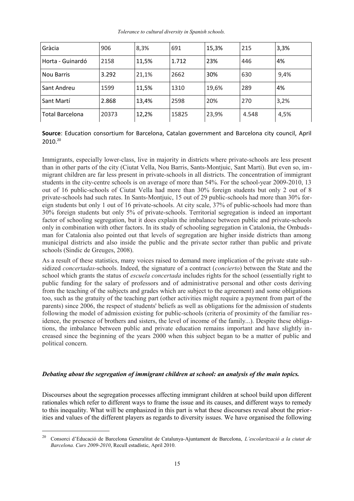*Tolerance to cultural diversity in Spanish schools.*

| Gràcia                 | 906   | 8,3%  | 691   | 15,3% | 215   | 3,3% |
|------------------------|-------|-------|-------|-------|-------|------|
| Horta - Guinardó       | 2158  | 11,5% | 1.712 | 23%   | 446   | 4%   |
| <b>Nou Barris</b>      | 3.292 | 21,1% | 2662  | 30%   | 630   | 9,4% |
| Sant Andreu            | 1599  | 11,5% | 1310  | 19,6% | 289   | 4%   |
| Sant Martí             | 2.868 | 13,4% | 2598  | 20%   | 270   | 3,2% |
| <b>Total Barcelona</b> | 20373 | 12,2% | 15825 | 23,9% | 4.548 | 4,5% |

**Source**: Education consortium for Barcelona, Catalan government and Barcelona city council, April 2010.[20](#page-20-0)

Immigrants, especially lower-class, live in majority in districts where private-schools are less present than in other parts of the city (Ciutat Vella, Nou Barris, Sants-Montjuic, Sant Marti). But even so, immigrant children are far less present in private-schools in all districts. The concentration of immigrant students in the city-centre schools is on average of more than 54%. For the school-year 2009-2010, 13 out of 16 public-schools of Ciutat Vella had more than 30% foreign students but only 2 out of 8 private-schools had such rates. In Sants-Montjuic, 15 out of 29 public-schools had more than 30% foreign students but only 1 out of 16 private-schools. At city scale, 37% of public-schools had more than 30% foreign students but only 5% of private-schools. Territorial segregation is indeed an important factor of schooling segregation, but it does explain the imbalance between public and private-schools only in combination with other factors. In its study of schooling segregation in Catalonia, the Ombudsman for Catalonia also pointed out that levels of segregation are higher inside districts than among municipal districts and also inside the public and the private sector rather than public and private schools (Sindic de Greuges, 2008).

As a result of these statistics, many voices raised to demand more implication of the private state subsidized *concertadas*-schools. Indeed, the signature of a contract (*concierto*) between the State and the school which grants the status of *escuela concertada* includes rights for the school (essentially right to public funding for the salary of professors and of administrative personal and other costs deriving from the teaching of the subjects and grades which are subject to the agreement) and some obligations too, such as the gratuity of the teaching part (other activities might require a payment from part of the parents) since 2006, the respect of students' beliefs as well as obligations for the admission of students following the model of admission existing for public-schools (criteria of proximity of the familiar residence, the presence of brothers and sisters, the level of income of the family...). Despite these obligations, the imbalance between public and private education remains important and have slightly increased since the beginning of the years 2000 when this subject began to be a matter of public and political concern.

#### *Debating about the segregation of immigrant children at school: an analysis of the main topics.*

Discourses about the segregation processes affecting immigrant children at school build upon different rationales which refer to different ways to frame the issue and its causes, and different ways to remedy to this inequality. What will be emphasized in this part is what these discourses reveal about the priorities and values of the different players as regards to diversity issues. We have organised the following

<span id="page-20-0"></span><sup>20</sup> Consorci d'Educació de Barcelona Generalitat de Catalunya-Ajuntament de Barcelona, *L'escolarització a la ciutat de Barcelona. Curs 2009-2010*, Recull estadístic, April 2010.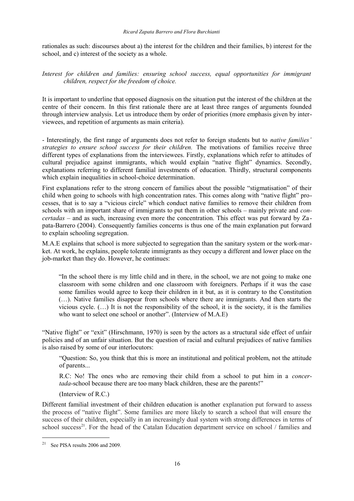rationales as such: discourses about a) the interest for the children and their families, b) interest for the school, and c) interest of the society as a whole.

*Interest for children and families: ensuring school success, equal opportunities for immigrant children, respect for the freedom of choice.*

It is important to underline that opposed diagnosis on the situation put the interest of the children at the centre of their concern. In this first rationale there are at least three ranges of arguments founded through interview analysis. Let us introduce them by order of priorities (more emphasis given by interviewees, and repetition of arguments as main criteria).

- Interestingly, the first range of arguments does not refer to foreign students but to *native families' strategies to ensure school success for their children.* The motivations of families receive three different types of explanations from the interviewees. Firstly, explanations which refer to attitudes of cultural prejudice against immigrants, which would explain "native flight" dynamics. Secondly, explanations referring to different familial investments of education. Thirdly, structural components which explain inequalities in school-choice determination.

First explanations refer to the strong concern of families about the possible "stigmatisation" of their child when going to schools with high concentration rates. This comes along with "native flight" processes, that is to say a "vicious circle" which conduct native families to remove their children from schools with an important share of immigrants to put them in other schools – mainly private and *concertadas* – and as such, increasing even more the concentration. This effect was put forward by Za pata-Barrero (2004). Consequently families concerns is thus one of the main explanation put forward to explain schooling segregation.

M.A.E explains that school is more subjected to segregation than the sanitary system or the work-market. At work, he explains, people tolerate immigrants as they occupy a different and lower place on the job-market than they do. However, he continues:

"In the school there is my little child and in there, in the school, we are not going to make one classroom with some children and one classroom with foreigners. Perhaps if it was the case some families would agree to keep their children in it but, as it is contrary to the Constitution (…). Native families disappear from schools where there are immigrants. And then starts the vicious cycle.  $(...)$  It is not the responsibility of the school, it is the society, it is the families who want to select one school or another". (Interview of M.A.E)

"Native flight" or "exit" (Hirschmann, 1970) is seen by the actors as a structural side effect of unfair policies and of an unfair situation. But the question of racial and cultural prejudices of native families is also raised by some of our interlocutors:

"Question: So, you think that this is more an institutional and political problem, not the attitude of parents...

R.C: No! The ones who are removing their child from a school to put him in a *concertada*-school because there are too many black children, these are the parents!"

(Interview of R.C.)

Different familial investment of their children education is another explanation put forward to assess the process of "native flight". Some families are more likely to search a school that will ensure the success of their children, especially in an increasingly dual system with strong differences in terms of school success<sup>[21](#page-21-0)</sup>. For the head of the Catalan Education department service on school / families and

<span id="page-21-0"></span><sup>21</sup> See PISA results 2006 and 2009.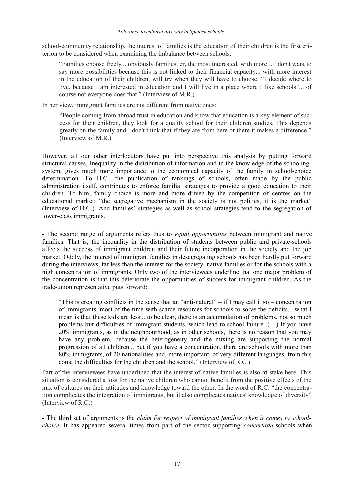school-community relationship, the interest of families is the education of their children is the first criterion to be considered when examining the imbalance between schools:

"Families choose freely... obviously families, er, the most interested, with more... I don't want to say more possibilities because this is not linked to their financial capacity... with more interest in the education of their children, will try when they will have to choose: "I decide where to live, because I am interested in education and I will live in a place where I like schools"... of course not everyone does that." (Interview of M.R.)

In her view, immigrant families are not different from native ones:

"People coming from abroad trust in education and know that education is a key element of success for their children, they look for a quality school for their children studies. This depends greatly on the family and I don't think that if they are from here or there it makes a difference." (Interview of M.R.)

However, all our other interlocutors have put into perspective this analysis by putting forward structural causes. Inequality in the distribution of information and in the knowledge of the schoolingsystem, gives much more importance to the economical capacity of the family in school-choice determination. To H.C., the publication of rankings of schools, often made by the public administration itself, contributes to enforce familial strategies to provide a good education to their children. To him, family choice is more and more driven by the competition of centres on the educational market: "the segregative mechanism in the society is not politics, it is the market" (Interview of H.C.). And families' strategies as well as school strategies tend to the segregation of lower-class immigrants.

- The second range of arguments refers thus to *equal opportunities* between immigrant and native families. That is, the inequality in the distribution of students between public and private-schools affects the success of immigrant children and their future incorporation in the society and the job market. Oddly, the interest of immigrant families in desegregating schools has been hardly put forward during the interviews, far less than the interest for the society, native families or for the schools with a high concentration of immigrants. Only two of the interviewees underline that one major problem of the concentration is that this deteriorate the opportunities of success for immigrant children. As the trade-union representative puts forward:

"This is creating conflicts in the sense that an "anti-natural" – if I may call it so – concentration of immigrants, most of the time with scarce resources for schools to solve the deficits... what I mean is that these kids are less... to be clear, there is an accumulation of problems, not so much problems but difficulties of immigrant students, which lead to school failure. (…) If you have 20% immigrants, as in the neighbourhood, as in other schools, there is no reason that you may have any problem, because the heterogeneity and the mixing are supporting the normal progression of all children... but if you have a concentration, there are schools with more than 80% immigrants, of 20 nationalities and, more important, of very different languages, from this come the difficulties for the children and the school." (Interview of R.C.)

Part of the interviewees have underlined that the interest of native families is also at stake here. This situation is considered a loss for the native children who cannot benefit from the positive effects of the mix of cultures on their attitudes and knowledge toward the other. In the word of R.C. "the concentration complicates the integration of immigrants, but it also complicates natives' knowledge of diversity" (Interview of R.C.)

- The third set of arguments is the *claim for respect of immigrant families when it comes to schoolchoice*. It has appeared several times from part of the sector supporting *concertada*-schools when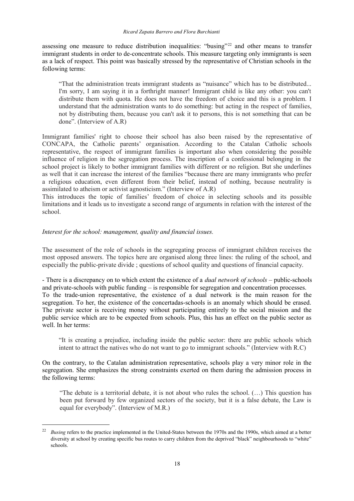assessing one measure to reduce distribution inequalities: "busing"<sup>[22](#page-23-0)</sup> and other means to transfer immigrant students in order to de-concentrate schools. This measure targeting only immigrants is seen as a lack of respect. This point was basically stressed by the representative of Christian schools in the following terms:

"That the administration treats immigrant students as "nuisance" which has to be distributed... I'm sorry, I am saying it in a forthright manner! Immigrant child is like any other: you can't distribute them with quota. He does not have the freedom of choice and this is a problem. I understand that the administration wants to do something: but acting in the respect of families, not by distributing them, because you can't ask it to persons, this is not something that can be done". (Interview of A.R)

Immigrant families' right to choose their school has also been raised by the representative of CONCAPA, the Catholic parents' organisation. According to the Catalan Catholic schools representative, the respect of immigrant families is important also when considering the possible influence of religion in the segregation process. The inscription of a confessional belonging in the school project is likely to bother immigrant families with different or no religion. But she underlines as well that it can increase the interest of the families "because there are many immigrants who prefer a religious education, even different from their belief, instead of nothing, because neutrality is assimilated to atheism or activist agnosticism." (Interview of A.R)

This introduces the topic of families' freedom of choice in selecting schools and its possible limitations and it leads us to investigate a second range of arguments in relation with the interest of the school.

### *Interest for the school: management, quality and financial issues.*

The assessment of the role of schools in the segregating process of immigrant children receives the most opposed answers. The topics here are organised along three lines: the ruling of the school, and especially the public-private divide ; questions of school quality and questions of financial capacity.

- There is a discrepancy on to which extent the existence of a *dual network of schools* – public-schools and private-schools with public funding – is responsible for segregation and concentration processes. To the trade-union representative, the existence of a dual network is the main reason for the segregation. To her, the existence of the concertadas-schools is an anomaly which should be erased. The private sector is receiving money without participating entirely to the social mission and the public service which are to be expected from schools. Plus, this has an effect on the public sector as well. In her terms:

"It is creating a prejudice, including inside the public sector: there are public schools which intent to attract the natives who do not want to go to immigrant schools." (Interview with R.C)

On the contrary, to the Catalan administration representative, schools play a very minor role in the segregation. She emphasizes the strong constraints exerted on them during the admission process in the following terms:

"The debate is a territorial debate, it is not about who rules the school. (…) This question has been put forward by few organized sectors of the society, but it is a false debate, the Law is equal for everybody". (Interview of M.R.)

<span id="page-23-0"></span><sup>&</sup>lt;sup>22</sup> *Busing* refers to the practice implemented in the United-States between the 1970s and the 1990s, which aimed at a better diversity at school by creating specific bus routes to carry children from the deprived "black" neighbourhoods to "white" schools.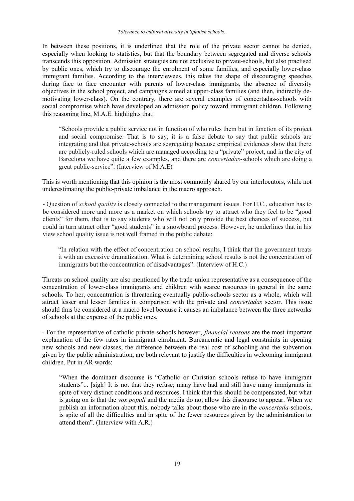In between these positions, it is underlined that the role of the private sector cannot be denied, especially when looking to statistics, but that the boundary between segregated and diverse schools transcends this opposition. Admission strategies are not exclusive to private-schools, but also practised by public ones, which try to discourage the enrolment of some families, and especially lower-class immigrant families. According to the interviewees, this takes the shape of discouraging speeches during face to face encounter with parents of lower-class immigrants, the absence of diversity objectives in the school project, and campaigns aimed at upper-class families (and then, indirectly demotivating lower-class). On the contrary, there are several examples of concertadas-schools with social compromise which have developed an admission policy toward immigrant children. Following this reasoning line, M.A.E. highlights that:

"Schools provide a public service not in function of who rules them but in function of its project and social compromise. That is to say, it is a false debate to say that public schools are integrating and that private-schools are segregating because empirical evidences show that there are publicly-ruled schools which are managed according to a "private" project, and in the city of Barcelona we have quite a few examples, and there are *concertadas*-schools which are doing a great public-service". (Interview of M.A.E)

This is worth mentioning that this opinion is the most commonly shared by our interlocutors, while not underestimating the public-private imbalance in the macro approach.

- Question of *school quality* is closely connected to the management issues. For H.C., education has to be considered more and more as a market on which schools try to attract who they feel to be "good clients" for them, that is to say students who will not only provide the best chances of success, but could in turn attract other "good students" in a snowboard process. However, he underlines that in his view school quality issue is not well framed in the public debate:

"In relation with the effect of concentration on school results, I think that the government treats it with an excessive dramatization. What is determining school results is not the concentration of immigrants but the concentration of disadvantages". (Interview of H.C.)

Threats on school quality are also mentioned by the trade-union representative as a consequence of the concentration of lower-class immigrants and children with scarce resources in general in the same schools. To her, concentration is threatening eventually public-schools sector as a whole, which will attract lesser and lesser families in comparison with the private and *concertadas* sector. This issue should thus be considered at a macro level because it causes an imbalance between the three networks of schools at the expense of the public ones.

- For the representative of catholic private-schools however, *financial reasons* are the most important explanation of the few rates in immigrant enrolment. Bureaucratic and legal constraints in opening new schools and new classes, the difference between the real cost of schooling and the subvention given by the public administration, are both relevant to justify the difficulties in welcoming immigrant children. Put in AR words:

"When the dominant discourse is "Catholic or Christian schools refuse to have immigrant students"... [sigh] It is not that they refuse; many have had and still have many immigrants in spite of very distinct conditions and resources. I think that this should be compensated, but what is going on is that the *vox populi* and the media do not allow this discourse to appear. When we publish an information about this, nobody talks about those who are in the *concertada*-schools, is spite of all the difficulties and in spite of the fewer resources given by the administration to attend them". (Interview with A.R.)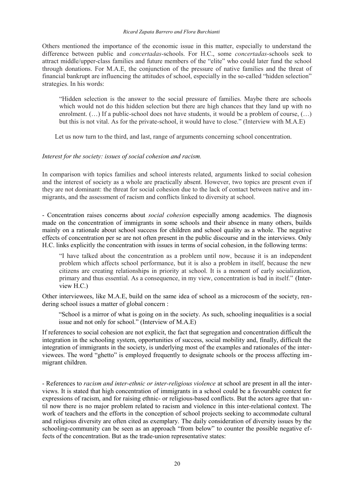#### *Ricard Zapata Barrero and Flora Burchianti*

Others mentioned the importance of the economic issue in this matter, especially to understand the difference between public and *concertadas*-schools. For H.C., some *concertadas*-schools seek to attract middle/upper-class families and future members of the "elite" who could later fund the school through donations. For M.A.E, the conjunction of the pressure of native families and the threat of financial bankrupt are influencing the attitudes of school, especially in the so-called "hidden selection" strategies. In his words:

"Hidden selection is the answer to the social pressure of families. Maybe there are schools which would not do this hidden selection but there are high chances that they land up with no enrolment. (...) If a public-school does not have students, it would be a problem of course, (...) but this is not vital. As for the private-school, it would have to close." (Interview with M.A.E)

Let us now turn to the third, and last, range of arguments concerning school concentration.

### *Interest for the society: issues of social cohesion and racism.*

In comparison with topics families and school interests related, arguments linked to social cohesion and the interest of society as a whole are practically absent. However, two topics are present even if they are not dominant: the threat for social cohesion due to the lack of contact between native and immigrants, and the assessment of racism and conflicts linked to diversity at school.

- Concentration raises concerns about *social cohesion* especially among academics. The diagnosis made on the concentration of immigrants in some schools and their absence in many others, builds mainly on a rationale about school success for children and school quality as a whole. The negative effects of concentration per se are not often present in the public discourse and in the interviews. Only H.C. links explicitly the concentration with issues in terms of social cohesion, in the following terms:

"I have talked about the concentration as a problem until now, because it is an independent problem which affects school performance, but it is also a problem in itself, because the new citizens are creating relationships in priority at school. It is a moment of early socialization, primary and thus essential. As a consequence, in my view, concentration is bad in itself." (Interview H.C.)

Other interviewees, like M.A.E, build on the same idea of school as a microcosm of the society, rendering school issues a matter of global concern :

"School is a mirror of what is going on in the society. As such, schooling inequalities is a social issue and not only for school." (Interview of M.A.E)

If references to social cohesion are not explicit, the fact that segregation and concentration difficult the integration in the schooling system, opportunities of success, social mobility and, finally, difficult the integration of immigrants in the society, is underlying most of the examples and rationales of the interviewees. The word "ghetto" is employed frequently to designate schools or the process affecting immigrant children.

- References to *racism and inter-ethnic or inter-religious violence* at school are present in all the interviews. It is stated that high concentration of immigrants in a school could be a favourable context for expressions of racism, and for raising ethnic- or religious-based conflicts. But the actors agree that until now there is no major problem related to racism and violence in this inter-relational context. The work of teachers and the efforts in the conception of school projects seeking to accommodate cultural and religious diversity are often cited as exemplary. The daily consideration of diversity issues by the schooling-community can be seen as an approach "from below" to counter the possible negative effects of the concentration. But as the trade-union representative states: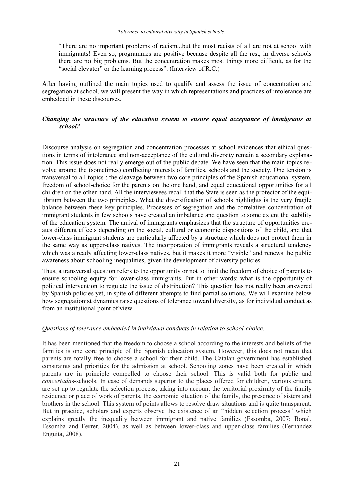"There are no important problems of racism...but the most racists of all are not at school with immigrants! Even so, programmes are positive because despite all the rest, in diverse schools there are no big problems. But the concentration makes most things more difficult, as for the "social elevator" or the learning process". (Interview of R.C.)

After having outlined the main topics used to qualify and assess the issue of concentration and segregation at school, we will present the way in which representations and practices of intolerance are embedded in these discourses.

## *Changing the structure of the education system to ensure equal acceptance of immigrants at school?*

Discourse analysis on segregation and concentration processes at school evidences that ethical questions in terms of intolerance and non-acceptance of the cultural diversity remain a secondary explanation. This issue does not really emerge out of the public debate. We have seen that the main topics re volve around the (sometimes) conflicting interests of families, schools and the society. One tension is transversal to all topics : the cleavage between two core principles of the Spanish educational system, freedom of school-choice for the parents on the one hand, and equal educational opportunities for all children on the other hand. All the interviewees recall that the State is seen as the protector of the equilibrium between the two principles. What the diversification of schools highlights is the very fragile balance between these key principles. Processes of segregation and the correlative concentration of immigrant students in few schools have created an imbalance and question to some extent the stability of the education system. The arrival of immigrants emphasizes that the structure of opportunities creates different effects depending on the social, cultural or economic dispositions of the child, and that lower-class immigrant students are particularly affected by a structure which does not protect them in the same way as upper-class natives. The incorporation of immigrants reveals a structural tendency which was already affecting lower-class natives, but it makes it more "visible" and renews the public awareness about schooling inequalities, given the development of diversity policies.

Thus, a transversal question refers to the opportunity or not to limit the freedom of choice of parents to ensure schooling equity for lower-class immigrants. Put in other words: what is the opportunity of political intervention to regulate the issue of distribution? This question has not really been answered by Spanish policies yet, in spite of different attempts to find partial solutions. We will examine below how segregationist dynamics raise questions of tolerance toward diversity, as for individual conduct as from an institutional point of view.

## *Questions of tolerance embedded in individual conducts in relation to school-choice.*

It has been mentioned that the freedom to choose a school according to the interests and beliefs of the families is one core principle of the Spanish education system. However, this does not mean that parents are totally free to choose a school for their child. The Catalan government has established constraints and priorities for the admission at school. Schooling zones have been created in which parents are in principle compelled to choose their school. This is valid both for public and *concertada*s-schools. In case of demands superior to the places offered for children, various criteria are set up to regulate the selection process, taking into account the territorial proximity of the family residence or place of work of parents, the economic situation of the family, the presence of sisters and brothers in the school. This system of points allows to resolve draw situations and is quite transparent. But in practice, scholars and experts observe the existence of an "hidden selection process" which explains greatly the inequality between immigrant and native families (Essomba, 2007; Bonal, Essomba and Ferrer, 2004), as well as between lower-class and upper-class families (Fernández Enguita, 2008).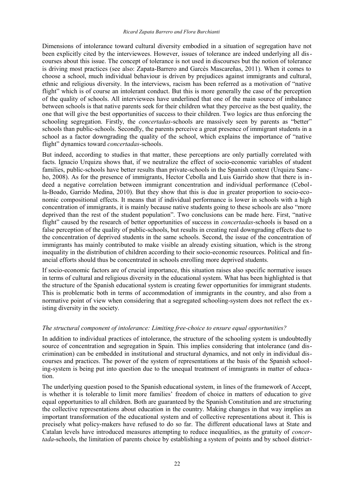Dimensions of intolerance toward cultural diversity embodied in a situation of segregation have not been explicitly cited by the interviewees. However, issues of tolerance are indeed underlying all discourses about this issue. The concept of tolerance is not used in discourses but the notion of tolerance is driving most practices (see also: Zapata-Barrero and Garcès Mascareñas, 2011). When it comes to choose a school, much individual behaviour is driven by prejudices against immigrants and cultural, ethnic and religious diversity. In the interviews, racism has been referred as a motivation of "native flight" which is of course an intolerant conduct. But this is more generally the case of the perception of the quality of schools. All interviewees have underlined that one of the main source of imbalance between schools is that native parents seek for their children what they perceive as the best quality, the one that will give the best opportunities of success to their children. Two logics are thus enforcing the schooling segregation. Firstly, the *concertadas*-schools are massively seen by parents as "better" schools than public-schools. Secondly, the parents perceive a great presence of immigrant students in a school as a factor downgrading the quality of the school, which explains the importance of "native flight" dynamics toward *concertadas*-schools.

But indeed, according to studies in that matter, these perceptions are only partially correlated with facts. Ignacio Urquizu shows that, if we neutralize the effect of socio-economic variables of student families, public-schools have better results than private-schools in the Spanish context (Urquizu Sanc ho, 2008). As for the presence of immigrants, Hector Cebolla and Luis Garrido show that there is indeed a negative correlation between immigrant concentration and individual performance (Cebolla-Boado, Garrido Medina, 2010). But they show that this is due in greater proportion to socio-economic compositional effects. It means that if individual performance is lower in schools with a high concentration of immigrants, it is mainly because native students going to these schools are also "more deprived than the rest of the student population". Two conclusions can be made here. First, "native flight" caused by the research of better opportunities of success in *concertadas*-schools is based on a false perception of the quality of public-schools, but results in creating real downgrading effects due to the concentration of deprived students in the same schools. Second, the issue of the concentration of immigrants has mainly contributed to make visible an already existing situation, which is the strong inequality in the distribution of children according to their socio-economic resources. Political and financial efforts should thus be concentrated in schools enrolling more deprived students.

If socio-economic factors are of crucial importance, this situation raises also specific normative issues in terms of cultural and religious diversity in the educational system. What has been highlighted is that the structure of the Spanish educational system is creating fewer opportunities for immigrant students. This is problematic both in terms of accommodation of immigrants in the country, and also from a normative point of view when considering that a segregated schooling-system does not reflect the existing diversity in the society.

#### *The structural component of intolerance: Limiting free-choice to ensure equal opportunities?*

In addition to individual practices of intolerance, the structure of the schooling system is undoubtedly source of concentration and segregation in Spain. This implies considering that intolerance (and discrimination) can be embedded in institutional and structural dynamics, and not only in individual discourses and practices. The power of the system of representations at the basis of the Spanish schooling-system is being put into question due to the unequal treatment of immigrants in matter of education.

The underlying question posed to the Spanish educational system, in lines of the framework of Accept, is whether it is tolerable to limit more families' freedom of choice in matters of education to give equal opportunities to all children. Both are guaranteed by the Spanish Constitution and are structuring the collective representations about education in the country. Making changes in that way implies an important transformation of the educational system and of collective representations about it. This is precisely what policy-makers have refused to do so far. The different educational laws at State and Catalan levels have introduced measures attempting to reduce inequalities, as the gratuity of *concertada*-schools, the limitation of parents choice by establishing a system of points and by school district-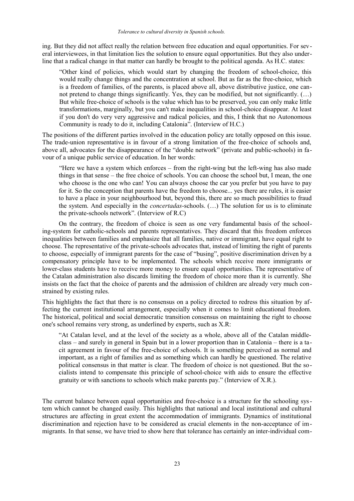ing. But they did not affect really the relation between free education and equal opportunities. For several interviewees, in that limitation lies the solution to ensure equal opportunities. But they also underline that a radical change in that matter can hardly be brought to the political agenda. As H.C. states:

"Other kind of policies, which would start by changing the freedom of school-choice, this would really change things and the concentration at school. But as far as the free-choice, which is a freedom of families, of the parents, is placed above all, above distributive justice, one cannot pretend to change things significantly. Yes, they can be modified, but not significantly. (…) But while free-choice of schools is the value which has to be preserved, you can only make little transformations, marginally, but you can't make inequalities in school-choice disappear. At least if you don't do very very aggressive and radical policies, and this, I think that no Autonomous Community is ready to do it, including Catalonia". (Interview of H.C.)

The positions of the different parties involved in the education policy are totally opposed on this issue. The trade-union representative is in favour of a strong limitation of the free-choice of schools and, above all, advocates for the disappearance of the "double network" (private and public-schools) in favour of a unique public service of education. In her words:

"Here we have a system which enforces – from the right-wing but the left-wing has also made things in that sense – the free choice of schools. You can choose the school but, I mean, the one who choose is the one who can! You can always choose the car you prefer but you have to pay for it. So the conception that parents have the freedom to choose... yes there are rules, it is easier to have a place in your neighbourhood but, beyond this, there are so much possibilities to fraud the system. And especially in the *concertadas*-schools. (…) The solution for us is to eliminate the private-schools network". (Interview of R.C)

On the contrary, the freedom of choice is seen as one very fundamental basis of the schooling-system for catholic-schools and parents representatives. They discard that this freedom enforces inequalities between families and emphasize that all families, native or immigrant, have equal right to choose. The representative of the private-schools advocates that, instead of limiting the right of parents to choose, especially of immigrant parents for the case of "busing", positive discrimination driven by a compensatory principle have to be implemented. The schools which receive more immigrants or lower-class students have to receive more money to ensure equal opportunities. The representative of the Catalan administration also discards limiting the freedom of choice more than it is currently. She insists on the fact that the choice of parents and the admission of children are already very much constrained by existing rules.

This highlights the fact that there is no consensus on a policy directed to redress this situation by affecting the current institutional arrangement, especially when it comes to limit educational freedom. The historical, political and social democratic transition consensus on maintaining the right to choose one's school remains very strong, as underlined by experts, such as X.R:

"At Catalan level, and at the level of the society as a whole, above all of the Catalan middleclass – and surely in general in Spain but in a lower proportion than in Catalonia – there is a tacit agreement in favour of the free-choice of schools. It is something perceived as normal and important, as a right of families and as something which can hardly be questioned. The relative political consensus in that matter is clear. The freedom of choice is not questioned. But the socialists intend to compensate this principle of school-choice with aids to ensure the effective gratuity or with sanctions to schools which make parents pay." (Interview of X.R.).

The current balance between equal opportunities and free-choice is a structure for the schooling system which cannot be changed easily. This highlights that national and local institutional and cultural structures are affecting in great extent the accommodation of immigrants. Dynamics of institutional discrimination and rejection have to be considered as crucial elements in the non-acceptance of immigrants. In that sense, we have tried to show here that tolerance has certainly an inter-individual com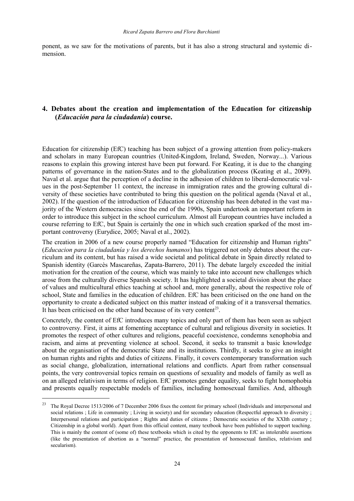ponent, as we saw for the motivations of parents, but it has also a strong structural and systemic dimension.

## **4. Debates about the creation and implementation of the Education for citizenship (***Educación para la ciudadanía***) course.**

Education for citizenship (EfC) teaching has been subject of a growing attention from policy-makers and scholars in many European countries (United-Kingdom, Ireland, Sweden, Norway...). Various reasons to explain this growing interest have been put forward. For Keating, it is due to the changing patterns of governance in the nation-States and to the globalization process (Keating et al., 2009). Naval et al. argue that the perception of a decline in the adhesion of children to liberal-democratic values in the post-September 11 context, the increase in immigration rates and the growing cultural diversity of these societies have contributed to bring this question on the political agenda (Naval et al., 2002). If the question of the introduction of Education for citizenship has been debated in the vast ma jority of the Western democracies since the end of the 1990s, Spain undertook an important reform in order to introduce this subject in the school curriculum. Almost all European countries have included a course referring to EfC, but Spain is certainly the one in which such creation sparked of the most important controversy (Eurydice, 2005; Naval et al., 2002).

The creation in 2006 of a new course properly named "Education for citizenship and Human rights" (*Educacion para la ciudadanía y los derechos humanos*) has triggered not only debates about the curriculum and its content, but has raised a wide societal and political debate in Spain directly related to Spanish identity (Garcès Mascareñas, Zapata-Barrero, 2011). The debate largely exceeded the initial motivation for the creation of the course, which was mainly to take into account new challenges which arose from the culturally diverse Spanish society. It has highlighted a societal division about the place of values and multicultural ethics teaching at school and, more generally, about the respective role of school, State and families in the education of children. EfC has been criticised on the one hand on the opportunity to create a dedicated subject on this matter instead of making of it a transversal thematics. It has been criticised on the other hand because of its very content<sup>[23](#page-29-0)</sup>.

Concretely, the content of EfC introduces many topics and only part of them has been seen as subject to controversy. First, it aims at fomenting acceptance of cultural and religious diversity in societies. It promotes the respect of other cultures and religions, peaceful coexistence, condemns xenophobia and racism, and aims at preventing violence at school. Second, it seeks to transmit a basic knowledge about the organisation of the democratic State and its institutions. Thirdly, it seeks to give an insight on human rights and rights and duties of citizens. Finally, it covers contemporary transformation such as social change, globalization, international relations and conflicts. Apart from rather consensual points, the very controversial topics remain on questions of sexuality and models of family as well as on an alleged relativism in terms of religion. EfC promotes gender equality, seeks to fight homophobia and presents equally respectable models of families, including homosexual families. And, although

<span id="page-29-0"></span><sup>&</sup>lt;sup>23</sup> The Roval Decree 1513/2006 of 7 December 2006 fixes the content for primary school (Individuals and interpersonal and social relations ; Life in community ; Living in society) and for secondary education (Respectful approach to diversity ; Interpersonal relations and participation ; Rights and duties of citizens ; Democratic societies of the XXIth century ; Citizenship in a global world). Apart from this official content, many textbook have been published to support teaching. This is mainly the content of (some of) these textbooks which is cited by the opponents to EfC as intolerable assertions (like the presentation of abortion as a "normal" practice, the presentation of homosexual families, relativism and secularism).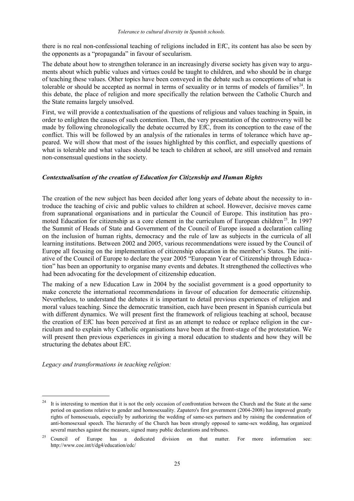there is no real non-confessional teaching of religions included in EfC, its content has also be seen by the opponents as a "propaganda" in favour of secularism.

The debate about how to strengthen tolerance in an increasingly diverse society has given way to arguments about which public values and virtues could be taught to children, and who should be in charge of teaching these values. Other topics have been conveyed in the debate such as conceptions of what is tolerable or should be accepted as normal in terms of sexuality or in terms of models of families  $24$ . In this debate, the place of religion and more specifically the relation between the Catholic Church and the State remains largely unsolved.

First, we will provide a contextualisation of the questions of religious and values teaching in Spain, in order to enlighten the causes of such contention. Then, the very presentation of the controversy will be made by following chronologically the debate occurred by EfC, from its conception to the ease of the conflict. This will be followed by an analysis of the rationales in terms of tolerance which have appeared. We will show that most of the issues highlighted by this conflict, and especially questions of what is tolerable and what values should be teach to children at school, are still unsolved and remain non-consensual questions in the society.

## *Contextualisation of the creation of Education for Citizenship and Human Rights*

The creation of the new subject has been decided after long years of debate about the necessity to introduce the teaching of civic and public values to children at school. However, decisive moves came from supranational organisations and in particular the Council of Europe. This institution has pro-moted Education for citizenship as a core element in the curriculum of European children<sup>[25](#page-30-1)</sup>. In 1997 the Summit of Heads of State and Government of the Council of Europe issued a declaration calling on the inclusion of human rights, democracy and the rule of law as subjects in the curricula of all learning institutions. Between 2002 and 2005, various recommendations were issued by the Council of Europe all focusing on the implementation of citizenship education in the member's States. The initiative of the Council of Europe to declare the year 2005 "European Year of Citizenship through Education" has been an opportunity to organise many events and debates. It strengthened the collectives who had been advocating for the development of citizenship education.

The making of a new Education Law in 2004 by the socialist government is a good opportunity to make concrete the international recommendations in favour of education for democratic citizenship. Nevertheless, to understand the debates it is important to detail previous experiences of religion and moral values teaching. Since the democratic transition, each have been present in Spanish curricula but with different dynamics. We will present first the framework of religious teaching at school, because the creation of EfC has been perceived at first as an attempt to reduce or replace religion in the curriculum and to explain why Catholic organisations have been at the front-stage of the protestation. We will present then previous experiences in giving a moral education to students and how they will be structuring the debates about EfC.

*Legacy and transformations in teaching religion:*

<span id="page-30-0"></span><sup>&</sup>lt;sup>24</sup> It is interesting to mention that it is not the only occasion of confrontation between the Church and the State at the same period on questions relative to gender and homosexuality. Zapatero's first government (2004-2008) has improved greatly rights of homosexuals, especially by authorizing the wedding of same-sex partners and by raising the condemnation of anti-homosexual speech. The hierarchy of the Church has been strongly opposed to same-sex wedding, has organized several marches against the measure, signed many public declarations and tribunes.

<span id="page-30-1"></span><sup>25</sup> Council of Europe has a dedicated division on that matter. For more information see: http://www.coe.int/t/dg4/education/edc/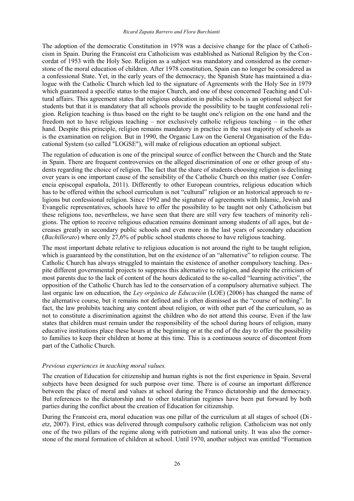The adoption of the democratic Constitution in 1978 was a decisive change for the place of Catholicism in Spain. During the Francoist era Catholicism was established as National Religion by the Concordat of 1953 with the Holy See. Religion as a subject was mandatory and considered as the cornerstone of the moral education of children. After 1978 constitution, Spain can no longer be considered as a confessional State. Yet, in the early years of the democracy, the Spanish State has maintained a dialogue with the Catholic Church which led to the signature of Agreements with the Holy See in 1979 which guaranteed a specific status to the major Church, and one of these concerned Teaching and Cultural affairs. This agreement states that religious education in public schools is an optional subject for students but that it is mandatory that all schools provide the possibility to be taught confessional religion. Religion teaching is thus based on the right to be taught one's religion on the one hand and the freedom not to have religious teaching – nor exclusively catholic religious teaching – in the other hand. Despite this principle, religion remains mandatory in practice in the vast majority of schools as is the examination on religion. But in 1990, the Organic Law on the General Organisation of the Educational System (so called "LOGSE"), will make of religious education an optional subject.

The regulation of education is one of the principal source of conflict between the Church and the State in Spain. There are frequent controversies on the alleged discrimination of one or other group of students regarding the choice of religion. The fact that the share of students choosing religion is declining over years is one important cause of the sensibility of the Catholic Church on this matter (see Conferencia episcopal española, 2011). Differently to other European countries, religious education which has to be offered within the school curriculum is not "cultural" religion or an historical approach to re ligions but confessional religion. Since 1992 and the signature of agreements with Islamic, Jewish and Evangelic representatives, schools have to offer the possibility to be taught not only Catholicism but these religions too, nevertheless, we have seen that there are still very few teachers of minority religions. The option to receive religious education remains dominant among students of all ages, but de creases greatly in secondary public schools and even more in the last years of secondary education (*Bachillerato*) where only 27,6% of public school students choose to have religious teaching.

The most important debate relative to religious education is not around the right to be taught religion, which is guaranteed by the constitution, but on the existence of an "alternative" to religion course. The Catholic Church has always struggled to maintain the existence of another compulsory teaching. Despite different governmental projects to suppress this alternative to religion, and despite the criticism of most parents due to the lack of content of the hours dedicated to the so-called "learning activities", the opposition of the Catholic Church has led to the conservation of a compulsory alternative subject. The last organic law on education, the *Ley orgánica de Educación* (LOE) (2006) has changed the name of the alternative course, but it remains not defined and is often dismissed as the "course of nothing". In fact, the law prohibits teaching any content about religion, or with other part of the curriculum, so as not to constitute a discrimination against the children who do not attend this course. Even if the law states that children must remain under the responsibility of the school during hours of religion, many educative institutions place these hours at the beginning or at the end of the day to offer the possibility to families to keep their children at home at this time. This is a continuous source of discontent from part of the Catholic Church.

#### *Previous experiences in teaching moral values.*

The creation of Education for citizenship and human rights is not the first experience in Spain. Several subjects have been designed for such purpose over time. There is of course an important difference between the place of moral and values at school during the Franco dictatorship and the democracy. But references to the dictatorship and to other totalitarian regimes have been put forward by both parties during the conflict about the creation of Education for citizenship.

During the Francoist era, moral education was one pillar of the curriculum at all stages of school (Dietz, 2007). First, ethics was delivered through compulsory catholic religion. Catholicism was not only one of the two pillars of the regime along with patriotism and national unity. It was also the cornerstone of the moral formation of children at school. Until 1970, another subject was entitled "Formation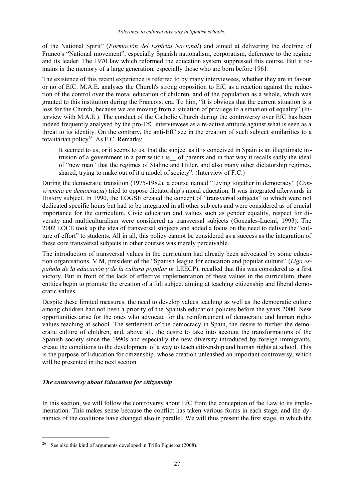of the National Spirit" (*Formación del Espiritu Nacional*) and aimed at delivering the doctrine of Franco's "National movement", especially Spanish nationalism, corporatism, deference to the regime and its leader. The 1970 law which reformed the education system suppressed this course. But it remains in the memory of a large generation, especially those who are born before 1961.

The existence of this recent experience is referred to by many interviewees, whether they are in favour or no of EfC. M.A.E. analyses the Church's strong opposition to EfC as a reaction against the reduc tion of the control over the moral education of children, and of the population as a whole, which was granted to this institution during the Francoist era. To him, "it is obvious that the current situation is a loss for the Church, because we are moving from a situation of privilege to a situation of equality" (Interview with M.A.E.). The conduct of the Catholic Church during the controversy over EfC has been indeed frequently analysed by the pro-EfC interviewees as a re-active attitude against what is seen as a threat to its identity. On the contrary, the anti-EfC see in the creation of such subject similarities to a totalitarian policy<sup>[26](#page-32-0)</sup>. As F.C. Remarks:

It seemed to us, or it seems to us, that the subject as it is conceived in Spain is an illegitimate in trusion of a government in a part which is of parents and in that way it recalls sadly the ideal of "new man" that the regimes of Staline and Hitler, and also many other dictatorship regimes, shared, trying to make out of it a model of society". (Interview of F.C.)

During the democratic transition (1975-1982), a course named "Living together in democracy" (*Convivencia en democracia*) tried to oppose dictatorship's moral education. It was integrated afterwards in History subject. In 1990, the LOGSE created the concept of "transversal subjects" to which were not dedicated specific hours but had to be integrated in all other subjects and were considered as of crucial importance for the curriculum. Civic education and values such as gender equality, respect for diversity and multiculturalism were considered as transversal subjects (Gonzales-Lucini, 1993). The 2002 LOCE took up the idea of transversal subjects and added a focus on the need to deliver the "culture of effort" to students. All in all, this policy cannot be considered as a success as the integration of these core transversal subjects in other courses was merely perceivable.

The introduction of transversal values in the curriculum had already been advocated by some educa tion organisations. V.M, president of the "Spanish league for education and popular culture" (*Liga española de la educación y de la cultura popular* or LEECP), recalled that this was considered as a first victory. But in front of the lack of effective implementation of these values in the curriculum, these entities begin to promote the creation of a full subject aiming at teaching citizenship and liberal democratic values.

Despite these limited measures, the need to develop values teaching as well as the democratic culture among children had not been a priority of the Spanish education policies before the years 2000. New opportunities arise for the ones who advocate for the reinforcement of democratic and human rights values teaching at school. The settlement of the democracy in Spain, the desire to further the democratic culture of children, and, above all, the desire to take into account the transformations of the Spanish society since the 1990s and especially the new diversity introduced by foreign immigrants, create the conditions to the development of a way to teach citizenship and human rights at school. This is the purpose of Education for citizenship, whose creation unleashed an important controversy, which will be presented in the next section.

## *The controversy about Education for citizenship*

In this section, we will follow the controversy about EfC from the conception of the Law to its imple mentation. This makes sense because the conflict has taken various forms in each stage, and the dynamics of the coalitions have changed also in parallel. We will thus present the first stage, in which the

<span id="page-32-0"></span> $26$  See also this kind of arguments developed in Trillo Figueroa (2008).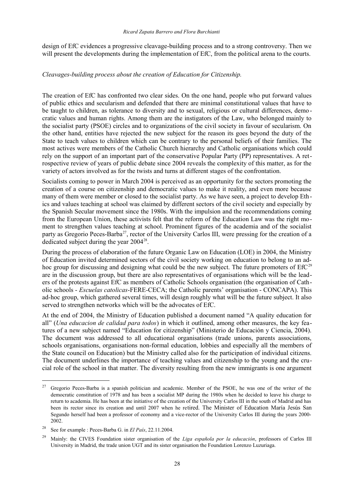design of EfC evidences a progressive cleavage-building process and to a strong controversy. Then we will present the developments during the implementation of EfC, from the political arena to the courts.

### *Cleavages-building process about the creation of Education for Citizenship.*

The creation of EfC has confronted two clear sides. On the one hand, people who put forward values of public ethics and secularism and defended that there are minimal constitutional values that have to be taught to children, as tolerance to diversity and to sexual, religious or cultural differences, demo cratic values and human rights. Among them are the instigators of the Law, who belonged mainly to the socialist party (PSOE) circles and to organizations of the civil society in favour of secularism. On the other hand, entities have rejected the new subject for the reason its goes beyond the duty of the State to teach values to children which can be contrary to the personal beliefs of their families. The most actives were members of the Catholic Church hierarchy and Catholic organisations which could rely on the support of an important part of the conservative Popular Party (PP) representatives. A retrospective review of years of public debate since 2004 reveals the complexity of this matter, as for the variety of actors involved as for the twists and turns at different stages of the confrontation.

Socialists coming to power in March 2004 is perceived as an opportunity for the sectors promoting the creation of a course on citizenship and democratic values to make it reality, and even more because many of them were member or closed to the socialist party. As we have seen, a project to develop Eth ics and values teaching at school was claimed by different sectors of the civil society and especially by the Spanish Secular movement since the 1980s. With the impulsion and the recommendations coming from the European Union, these activists felt that the reform of the Education Law was the right moment to strengthen values teaching at school. Prominent figures of the academia and of the socialist party as Gregorio Peces-Barba<sup>[27](#page-33-0)</sup>, rector of the University Carlos III, were pressing for the creation of a dedicated subject during the year  $2004^{28}$  $2004^{28}$  $2004^{28}$ .

During the process of elaboration of the future Organic Law on Education (LOE) in 2004, the Ministry of Education invited determined sectors of the civil society working on education to belong to an adhoc group for discussing and designing what could be the new subject. The future promoters of  $EfC<sup>29</sup>$  $EfC<sup>29</sup>$  $EfC<sup>29</sup>$ are in the discussion group, but there are also representatives of organisations which will be the leaders of the protests against EfC as members of Catholic Schools organisation (the organisation of Catholic schools - *Escuelas catolicas*-FERE-CECA; the Catholic parents' organisation - CONCAPA). This ad-hoc group, which gathered several times, will design roughly what will be the future subject. It also served to strengthen networks which will be the advocates of EfC.

At the end of 2004, the Ministry of Education published a document named "A quality education for all" (*Una educacion de calidad para todos*) in which it outlined, among other measures, the key features of a new subject named "Education for citizenship" (Ministerio de Educación y Ciencia, 2004). The document was addressed to all educational organisations (trade unions, parents associations, schools organisations, organisations non-formal education, lobbies and especially all the members of the State council on Education) but the Ministry called also for the participation of individual citizens. The document underlines the importance of teaching values and citizenship to the young and the crucial role of the school in that matter. The diversity resulting from the new immigrants is one argument

<span id="page-33-0"></span><sup>&</sup>lt;sup>27</sup> Gregorio Peces-Barba is a spanish politician and academic. Member of the PSOE, he was one of the writer of the democratic constitution of 1978 and has been a socialist MP during the 1980s when he decided to leave his charge to return to academia. He has been at the initiative of the creation of the University Carlos III in the south of Madrid and has been its rector since its creation and until 2007 when he retired. The Minister of Education María Jesús San Segundo herself had been a professor of economy and a vice-rector of the University Carlos III during the years 2000- 2002.

<span id="page-33-1"></span><sup>28</sup> See for example : Peces-Barba G. in *El País*, 22.11.2004.

<span id="page-33-2"></span><sup>29</sup> Mainly: the CIVES Foundation sister organisation of the *Liga española por la educación*, professors of Carlos III University in Madrid, the trade union UGT and its sister organisation the Foundation Lorenzo Luzuriaga.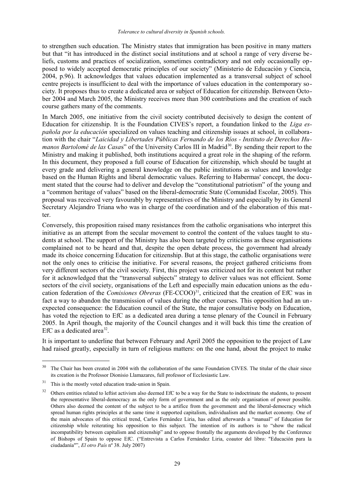to strengthen such education. The Ministry states that immigration has been positive in many matters but that "it has introduced in the distinct social institutions and at school a range of very diverse beliefs, customs and practices of socialization, sometimes contradictory and not only occasionally opposed to widely accepted democratic principles of our society" (Ministerio de Educación y Ciencia, 2004, p.96). It acknowledges that values education implemented as a transversal subject of school centre projects is insufficient to deal with the importance of values education in the contemporary society. It proposes thus to create a dedicated area or subject of Education for citizenship. Between October 2004 and March 2005, the Ministry receives more than 300 contributions and the creation of such course gathers many of the comments.

In March 2005, one initiative from the civil society contributed decisively to design the content of Education for citizenship. It is the Foundation CIVES's report, a foundation linked to the *Liga española por la educación* specialized on values teaching and citizenship issues at school, in collaboration with the chair "*Laicidad y Libertades Públicas Fernando de los Ríos - Instituto de Derechos Humanos Bartolomé de las Casas*" of the University Carlos III in Madrid<sup>[30](#page-34-0)</sup>. By sending their report to the Ministry and making it published, both institutions acquired a great role in the shaping of the reform. In this document, they proposed a full course of Education for citizenship, which should be taught at every grade and delivering a general knowledge on the public institutions as values and knowledge based on the Human Rights and liberal democratic values. Referring to Habermas' concept, the document stated that the course had to deliver and develop the "constitutional patriotism" of the young and a "common heritage of values" based on the liberal-democratic State (Comunidad Escolar, 2005). This proposal was received very favourably by representatives of the Ministry and especially by its General Secretary Alejandro Triana who was in charge of the coordination and of the elaboration of this matter.

Conversely, this proposition raised many resistances from the catholic organisations who interpret this initiative as an attempt from the secular movement to control the content of the values taught to students at school. The support of the Ministry has also been targeted by criticisms as these organisations complained not to be heard and that, despite the open debate process, the government had already made its choice concerning Education for citizenship. But at this stage, the catholic organisations were not the only ones to criticise the initiative. For several reasons, the project gathered criticisms from very different sectors of the civil society. First, this project was criticized not for its content but rather for it acknowledged that the "transversal subjects" strategy to deliver values was not efficient. Some sectors of the civil society, organisations of the Left and especially main education unions as the edu cation federation of the *Comisiones Obreras* (FE-CCOO)<sup>[31](#page-34-1)</sup>, criticized that the creation of EfC was in fact a way to abandon the transmission of values during the other courses. This opposition had an unexpected consequence: the Education council of the State, the major consultative body on Education, has voted the rejection to EfC as a dedicated area during a tense plenary of the Council in February 2005. In April though, the majority of the Council changes and it will back this time the creation of EfC as a dedicated area<sup>[32](#page-34-2)</sup>.

It is important to underline that between February and April 2005 the opposition to the project of Law had raised greatly, especially in turn of religious matters: on the one hand, about the project to make

<span id="page-34-0"></span><sup>&</sup>lt;sup>30</sup> The Chair has been created in 2004 with the collaboration of the same Foundation CIVES. The titular of the chair since its creation is the Professor Dionisio Llamazares, full professor of Ecclesiastic Law.

<span id="page-34-1"></span><sup>&</sup>lt;sup>31</sup> This is the mostly voted education trade-union in Spain.

<span id="page-34-2"></span><sup>&</sup>lt;sup>32</sup> Others entities related to leftist activism also deemed EfC to be a way for the State to indoctrinate the students, to present the representative liberal-democracy as the only form of government and as the only organisation of power possible. Others also deemed the content of the subject to be a artifice from the government and the liberal-democracy which spread human rights principles at the same time it supported capitalism, individualism and the market economy. One of the main advocates of this critical trend, Carlos Fernández Liria, has edited afterwards a "manual" of Education for citizenship while reiterating his opposition to this subject. The intention of its authors is to "show the radical incompatibility between capitalism and citizenship" and to oppose frontally the arguments developed by the Conference of Bishops of Spain to oppose EfC. ("Entrevista a Carlos Fernández Liria, coautor del libro: "Educación para la ciudadanía"", *El otro País* nº 38. July 2007)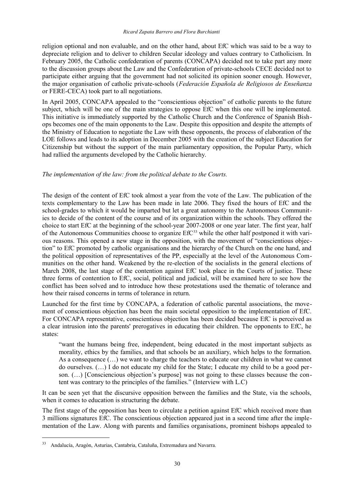religion optional and non evaluable, and on the other hand, about EfC which was said to be a way to depreciate religion and to deliver to children Secular ideology and values contrary to Catholicism. In February 2005, the Catholic confederation of parents (CONCAPA) decided not to take part any more to the discussion groups about the Law and the Confederation of private-schools CECE decided not to participate either arguing that the government had not solicited its opinion sooner enough. However, the major organisation of catholic private-schools (*Federación Española de Religiosos de Enseñanza* or FERE-CECA) took part to all negotiations.

In April 2005, CONCAPA appealed to the "conscientious objection" of catholic parents to the future subject, which will be one of the main strategies to oppose EfC when this one will be implemented. This initiative is immediately supported by the Catholic Church and the Conference of Spanish Bishops becomes one of the main opponents to the Law. Despite this opposition and despite the attempts of the Ministry of Education to negotiate the Law with these opponents, the process of elaboration of the LOE follows and leads to its adoption in December 2005 with the creation of the subject Education for Citizenship but without the support of the main parliamentary opposition, the Popular Party, which had rallied the arguments developed by the Catholic hierarchy.

## *The implementation of the law: from the political debate to the Courts.*

The design of the content of EfC took almost a year from the vote of the Law. The publication of the texts complementary to the Law has been made in late 2006. They fixed the hours of EfC and the school-grades to which it would be imparted but let a great autonomy to the Autonomous Communities to decide of the content of the course and of its organization within the schools. They offered the choice to start EfC at the beginning of the school-year 2007-2008 or one year later. The first year, half of the Autonomous Communities choose to organize EfC<sup>[33](#page-35-0)</sup> while the other half postponed it with various reasons. This opened a new stage in the opposition, with the movement of "conscientious objection" to EfC promoted by catholic organisations and the hierarchy of the Church on the one hand, and the political opposition of representatives of the PP, especially at the level of the Autonomous Communities on the other hand. Weakened by the re-election of the socialists in the general elections of March 2008, the last stage of the contention against EfC took place in the Courts of justice. These three forms of contention to EfC, social, political and judicial, will be examined here to see how the conflict has been solved and to introduce how these protestations used the thematic of tolerance and how their raised concerns in terms of tolerance in return.

Launched for the first time by CONCAPA, a federation of catholic parental associations, the movement of conscientious objection has been the main societal opposition to the implementation of EfC. For CONCAPA representative, conscientious objection has been decided because EfC is perceived as a clear intrusion into the parents' prerogatives in educating their children. The opponents to EfC, he states:

"want the humans being free, independent, being educated in the most important subjects as morality, ethics by the families, and that schools be an auxiliary, which helps to the formation. As a consequence (…) we want to charge the teachers to educate our children in what we cannot do ourselves. (…) I do not educate my child for the State; I educate my child to be a good person. (…) [Consciencious objection's purpose] was not going to these classes because the content was contrary to the principles of the families." (Interview with L.C)

It can be seen yet that the discursive opposition between the families and the State, via the schools, when it comes to education is structuring the debate.

The first stage of the opposition has been to circulate a petition against EfC which received more than 3 millions signatures EfC. The conscientious objection appeared just in a second time after the implementation of the Law. Along with parents and families organisations, prominent bishops appealed to

<span id="page-35-0"></span><sup>33</sup> Andalucía, Aragón, Asturias, Cantabria, Cataluña, Extremadura and Navarra.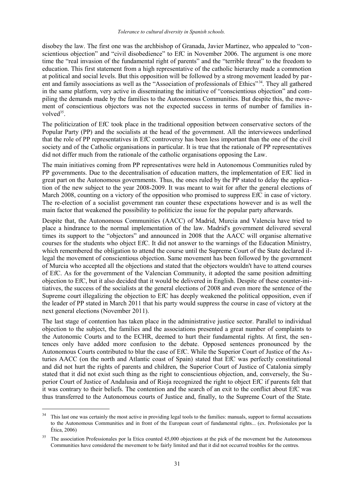disobey the law. The first one was the archbishop of Granada, Javier Martinez, who appealed to "conscientious objection" and "civil disobedience" to EfC in November 2006. The argument is one more time the "real invasion of the fundamental right of parents" and the "terrible threat" to the freedom to education. This first statement from a high representative of the catholic hierarchy made a commotion at political and social levels. But this opposition will be followed by a strong movement leaded by par-ent and family associations as well as the "Association of professionals of Ethics"<sup>[34](#page-36-0)</sup>. They all gathered in the same platform, very active in disseminating the initiative of "conscientious objection" and compiling the demands made by the families to the Autonomous Communities. But despite this, the movement of conscientious objectors was not the expected success in terms of number of families in-volved<sup>[35](#page-36-1)</sup>.

The politicization of EfC took place in the traditional opposition between conservative sectors of the Popular Party (PP) and the socialists at the head of the government. All the interviewees underlined that the role of PP representatives in EfC controversy has been less important than the one of the civil society and of the Catholic organisations in particular. It is true that the rationale of PP representatives did not differ much from the rationale of the catholic organisations opposing the Law.

The main initiatives coming from PP representatives were held in Autonomous Communities ruled by PP governments. Due to the decentralisation of education matters, the implementation of EfC lied in great part on the Autonomous governments. Thus, the ones ruled by the PP stated to delay the application of the new subject to the year 2008-2009. It was meant to wait for after the general elections of March 2008, counting on a victory of the opposition who promised to suppress EfC in case of victory. The re-election of a socialist government ran counter these expectations however and is as well the main factor that weakened the possibility to politicize the issue for the popular party afterwards.

Despite that, the Autonomous Communities (AACC) of Madrid, Murcia and Valencia have tried to place a hindrance to the normal implementation of the law. Madrid's government delivered several times its support to the "objectors" and announced in 2008 that the AACC will organise alternative courses for the students who object EfC. It did not answer to the warnings of the Education Ministry, which remembered the obligation to attend the course until the Supreme Court of the State declared illegal the movement of conscientious objection. Same movement has been followed by the government of Murcia who accepted all the objections and stated that the objectors wouldn't have to attend courses of EfC. As for the government of the Valencian Community, it adopted the same position admitting objection to EfC, but it also decided that it would be delivered in English. Despite of these counter-initiatives, the success of the socialists at the general elections of 2008 and even more the sentence of the Supreme court illegalizing the objection to EfC has deeply weakened the political opposition, even if the leader of PP stated in March 2011 that his party would suppress the course in case of victory at the next general elections (November 2011).

The last stage of contention has taken place in the administrative justice sector. Parallel to individual objection to the subject, the families and the associations presented a great number of complaints to the Autonomic Courts and to the ECHR, deemed to hurt their fundamental rights. At first, the sentences only have added more confusion to the debate. Opposed sentences pronounced by the Autonomous Courts contributed to blur the case of EfC. While the Superior Court of Justice of the Asturies AACC (on the north and Atlantic coast of Spain) stated that EfC was perfectly constitutional and did not hurt the rights of parents and children, the Superior Court of Justice of Catalonia simply stated that it did not exist such thing as the right to conscientious objection, and, conversely, the Su perior Court of Justice of Andalusia and of Rioja recognized the right to object EfC if parents felt that it was contrary to their beliefs. The contention and the search of an exit to the conflict about EfC was thus transferred to the Autonomous courts of Justice and, finally, to the Supreme Court of the State.

<span id="page-36-0"></span><sup>&</sup>lt;sup>34</sup> This last one was certainly the most active in providing legal tools to the families: manuals, support to formal accusations to the Autonomous Communities and in front of the European court of fundamental rights... (ex. Profesionales por la Ética, 2006)

<span id="page-36-1"></span><sup>35</sup> The association Professionales por la Etica counted 45,000 objections at the pick of the movement but the Autonomous Communities have considered the movement to be fairly limited and that it did not occurred troubles for the centres.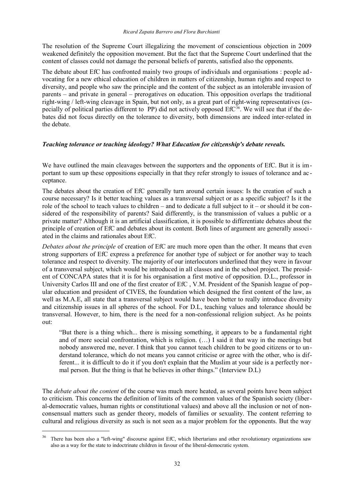The resolution of the Supreme Court illegalizing the movement of conscientious objection in 2009 weakened definitely the opposition movement. But the fact that the Supreme Court underlined that the content of classes could not damage the personal beliefs of parents, satisfied also the opponents.

The debate about EfC has confronted mainly two groups of individuals and organisations : people advocating for a new ethical education of children in matters of citizenship, human rights and respect to diversity, and people who saw the principle and the content of the subject as an intolerable invasion of parents – and private in general – prerogatives on education. This opposition overlaps the traditional right-wing / left-wing cleavage in Spain, but not only, as a great part of right-wing representatives (es-pecially of political parties different to PP) did not actively opposed EfC<sup>[36](#page-37-0)</sup>. We will see that if the debates did not focus directly on the tolerance to diversity, both dimensions are indeed inter-related in the debate.

### *Teaching tolerance or teaching ideology? What Education for citizenship's debate reveals.*

We have outlined the main cleavages between the supporters and the opponents of EfC. But it is important to sum up these oppositions especially in that they refer strongly to issues of tolerance and ac ceptance.

The debates about the creation of EfC generally turn around certain issues: Is the creation of such a course necessary? Is it better teaching values as a transversal subject or as a specific subject? Is it the role of the school to teach values to children – and to dedicate a full subject to it – or should it be considered of the responsibility of parents? Said differently, is the transmission of values a public or a private matter? Although it is an artificial classification, it is possible to differentiate debates about the principle of creation of EfC and debates about its content. Both lines of argument are generally associated in the claims and rationales about EfC.

*Debates about the principle* of creation of EfC are much more open than the other. It means that even strong supporters of EfC express a preference for another type of subject or for another way to teach tolerance and respect to diversity. The majority of our interlocutors underlined that they were in favour of a transversal subject, which would be introduced in all classes and in the school project. The president of CONCAPA states that it is for his organisation a first motive of opposition. D.L., professor in University Carlos III and one of the first creator of EfC , V.M. President of the Spanish league of popular education and president of CIVES, the foundation which designed the first content of the law, as well as M.A.E, all state that a transversal subject would have been better to really introduce diversity and citizenship issues in all spheres of the school. For D.L, teaching values and tolerance should be transversal. However, to him, there is the need for a non-confessional religion subject. As he points out:

"But there is a thing which... there is missing something, it appears to be a fundamental right and of more social confrontation, which is religion. (…) I said it that way in the meetings but nobody answered me, never. I think that you cannot teach children to be good citizens or to understand tolerance, which do not means you cannot criticise or agree with the other, who is different... it is difficult to do it if you don't explain that the Muslim at your side is a perfectly normal person. But the thing is that he believes in other things." (Interview D.L)

The *debate about the content* of the course was much more heated, as several points have been subject to criticism. This concerns the definition of limits of the common values of the Spanish society (liberal-democratic values, human rights or constitutional values) and above all the inclusion or not of nonconsensual matters such as gender theory, models of families or sexuality. The content referring to cultural and religious diversity as such is not seen as a major problem for the opponents. But the way

<span id="page-37-0"></span>There has been also a "left-wing" discourse against EfC, which libertarians and other revolutionary organizations saw also as a way for the state to indoctrinate children in favour of the liberal-democratic system.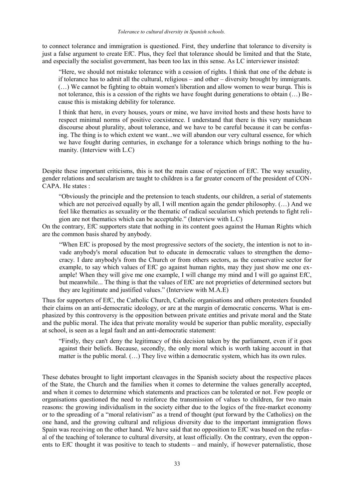to connect tolerance and immigration is questioned. First, they underline that tolerance to diversity is just a false argument to create EfC. Plus, they feel that tolerance should be limited and that the State, and especially the socialist government, has been too lax in this sense. As LC interviewer insisted:

"Here, we should not mistake tolerance with a cession of rights. I think that one of the debate is if tolerance has to admit all the cultural, religious – and other – diversity brought by immigrants. (…) We cannot be fighting to obtain women's liberation and allow women to wear burqa. This is not tolerance, this is a cession of the rights we have fought during generations to obtain (…) Be cause this is mistaking debility for tolerance.

I think that here, in every houses, yours or mine, we have invited hosts and these hosts have to respect minimal norms of positive coexistence. I understand that there is this very manichean discourse about plurality, about tolerance, and we have to be careful because it can be confusing. The thing is to which extent we want...we will abandon our very cultural essence, for which we have fought during centuries, in exchange for a tolerance which brings nothing to the humanity. (Interview with L.C)

Despite these important criticisms, this is not the main cause of rejection of EfC. The way sexuality, gender relations and secularism are taught to children is a far greater concern of the president of CON-CAPA. He states :

"Obviously the principle and the pretension to teach students, our children, a serial of statements which are not perceived equally by all, I will mention again the gender philosophy.  $(\ldots)$  And we feel like thematics as sexuality or the thematic of radical secularism which pretends to fight religion are not thematics which can be acceptable." (Interview with L.C)

On the contrary, EfC supporters state that nothing in its content goes against the Human Rights which are the common basis shared by anybody.

"When EfC is proposed by the most progressive sectors of the society, the intention is not to invade anybody's moral education but to educate in democratic values to strengthen the democracy. I dare anybody's from the Church or from others sectors, as the conservative sector for example, to say which values of EfC go against human rights, may they just show me one example! When they will give me one example, I will change my mind and I will go against EfC, but meanwhile... The thing is that the values of EfC are not proprieties of determined sectors but they are legitimate and justified values." (Interview with M.A.E)

Thus for supporters of EfC, the Catholic Church, Catholic organisations and others protesters founded their claims on an anti-democratic ideology, or are at the margin of democratic concerns. What is emphasized by this controversy is the opposition between private entities and private moral and the State and the public moral. The idea that private morality would be superior than public morality, especially at school, is seen as a legal fault and an anti-democratic statement:

"Firstly, they can't deny the legitimacy of this decision taken by the parliament, even if it goes against their beliefs. Because, secondly, the only moral which is worth taking account in that matter is the public moral. (…) They live within a democratic system, which has its own rules.

These debates brought to light important cleavages in the Spanish society about the respective places of the State, the Church and the families when it comes to determine the values generally accepted, and when it comes to determine which statements and practices can be tolerated or not. Few people or organisations questioned the need to reinforce the transmission of values to children, for two main reasons: the growing individualism in the society either due to the logics of the free-market economy or to the spreading of a "moral relativism" as a trend of thought (put forward by the Catholics) on the one hand, and the growing cultural and religious diversity due to the important immigration flows Spain was receiving on the other hand. We have said that no opposition to EfC was based on the refusal of the teaching of tolerance to cultural diversity, at least officially. On the contrary, even the oppon ents to EfC thought it was positive to teach to students – and mainly, if however paternalistic, those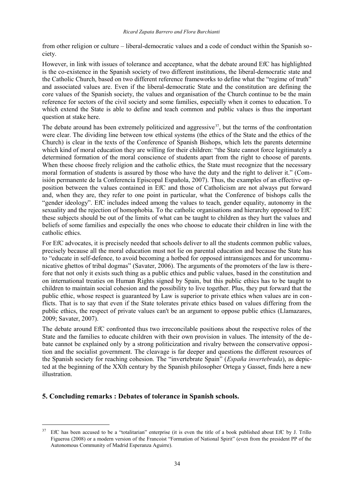from other religion or culture – liberal-democratic values and a code of conduct within the Spanish society.

However, in link with issues of tolerance and acceptance, what the debate around EfC has highlighted is the co-existence in the Spanish society of two different institutions, the liberal-democratic state and the Catholic Church, based on two different reference frameworks to define what the "regime of truth" and associated values are. Even if the liberal-democratic State and the constitution are defining the core values of the Spanish society, the values and organisation of the Church continue to be the main reference for sectors of the civil society and some families, especially when it comes to education. To which extend the State is able to define and teach common and public values is thus the important question at stake here.

The debate around has been extremely politicized and aggressive $^{37}$  $^{37}$  $^{37}$ , but the terms of the confrontation were clear. The dividing line between tow ethical systems (the ethics of the State and the ethics of the Church) is clear in the texts of the Conference of Spanish Bishops, which lets the parents determine which kind of moral education they are willing for their children: "the State cannot force legitimately a determined formation of the moral conscience of students apart from the right to choose of parents. When these choose freely religion and the catholic ethics, the State must recognize that the necessary moral formation of students is assured by those who have the duty and the right to deliver it." (Comisión permanente de la Conferencia Episcopal Española, 2007). Thus, the examples of an effective opposition between the values contained in EfC and those of Catholicism are not always put forward and, when they are, they refer to one point in particular, what the Conference of bishops calls the "gender ideology". EfC includes indeed among the values to teach, gender equality, autonomy in the sexuality and the rejection of homophobia. To the catholic organisations and hierarchy opposed to EfC these subjects should be out of the limits of what can be taught to children as they hurt the values and beliefs of some families and especially the ones who choose to educate their children in line with the catholic ethics.

For EfC advocates, it is precisely needed that schools deliver to all the students common public values, precisely because all the moral education must not lie on parental education and because the State has to "educate in self-defence, to avoid becoming a hotbed for opposed intransigences and for uncommunicative ghettos of tribal dogmas" (Savater, 2006). The arguments of the promoters of the law is therefore that not only it exists such thing as a public ethics and public values, based in the constitution and on international treaties on Human Rights signed by Spain, but this public ethics has to be taught to children to maintain social cohesion and the possibility to live together. Plus, they put forward that the public ethic, whose respect is guaranteed by Law is superior to private ethics when values are in conflicts. That is to say that even if the State tolerates private ethics based on values differing from the public ethics, the respect of private values can't be an argument to oppose public ethics (Llamazares, 2009; Savater, 2007).

The debate around EfC confronted thus two irreconcilable positions about the respective roles of the State and the families to educate children with their own provision in values. The intensity of the debate cannot be explained only by a strong politicization and rivalry between the conservative opposition and the socialist government. The cleavage is far deeper and questions the different resources of the Spanish society for reaching cohesion. The "invertebrate Spain" (*España invertebrada*), as depicted at the beginning of the XXth century by the Spanish philosopher Ortega y Gasset, finds here a new illustration.

## **5. Concluding remarks : Debates of tolerance in Spanish schools.**

<span id="page-39-0"></span> $37$  EfC has been accused to be a "totalitarian" enterprise (it is even the title of a book published about EfC by J. Trillo Figueroa (2008) or a modern version of the Francoist "Formation of National Spirit" (even from the president PP of the Autonomous Community of Madrid Esperanza Aguirre).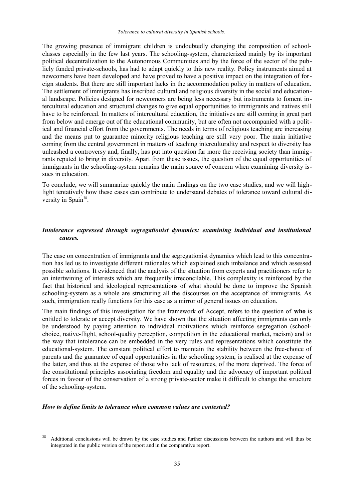The growing presence of immigrant children is undoubtedly changing the composition of schoolclasses especially in the few last years. The schooling-system, characterized mainly by its important political decentralization to the Autonomous Communities and by the force of the sector of the publicly funded private-schools, has had to adapt quickly to this new reality. Policy instruments aimed at newcomers have been developed and have proved to have a positive impact on the integration of foreign students. But there are still important lacks in the accommodation policy in matters of education. The settlement of immigrants has inscribed cultural and religious diversity in the social and educational landscape. Policies designed for newcomers are being less necessary but instruments to foment intercultural education and structural changes to give equal opportunities to immigrants and natives still have to be reinforced. In matters of intercultural education, the initiatives are still coming in great part from below and emerge out of the educational community, but are often not accompanied with a political and financial effort from the governments. The needs in terms of religious teaching are increasing and the means put to guarantee minority religious teaching are still very poor. The main initiative coming from the central government in matters of teaching interculturality and respect to diversity has unleashed a controversy and, finally, has put into question far more the receiving society than immig rants reputed to bring in diversity. Apart from these issues, the question of the equal opportunities of immigrants in the schooling-system remains the main source of concern when examining diversity issues in education.

To conclude, we will summarize quickly the main findings on the two case studies, and we will highlight tentatively how these cases can contribute to understand debates of tolerance toward cultural di-versity in Spain<sup>[38](#page-40-0)</sup>.

## *Intolerance expressed through segregationist dynamics: examining individual and institutional causes.*

The case on concentration of immigrants and the segregationist dynamics which lead to this concentration has led us to investigate different rationales which explained such imbalance and which assessed possible solutions. It evidenced that the analysis of the situation from experts and practitioners refer to an intertwining of interests which are frequently irreconcilable. This complexity is reinforced by the fact that historical and ideological representations of what should be done to improve the Spanish schooling-system as a whole are structuring all the discourses on the acceptance of immigrants. As such, immigration really functions for this case as a mirror of general issues on education.

The main findings of this investigation for the framework of Accept, refers to the question of **who** is entitled to tolerate or accept diversity. We have shown that the situation affecting immigrants can only be understood by paying attention to individual motivations which reinforce segregation (schoolchoice, native-flight, school-quality perception, competition in the educational market, racism) and to the way that intolerance can be embedded in the very rules and representations which constitute the educational-system. The constant political effort to maintain the stability between the free-choice of parents and the guarantee of equal opportunities in the schooling system, is realised at the expense of the latter, and thus at the expense of those who lack of resources, of the more deprived. The force of the constitutional principles associating freedom and equality and the advocacy of important political forces in favour of the conservation of a strong private-sector make it difficult to change the structure of the schooling-system.

#### *How to define limits to tolerance when common values are contested?*

<span id="page-40-0"></span><sup>38</sup> Additional conclusions will be drawn by the case studies and further discussions between the authors and will thus be integrated in the public version of the report and in the comparative report.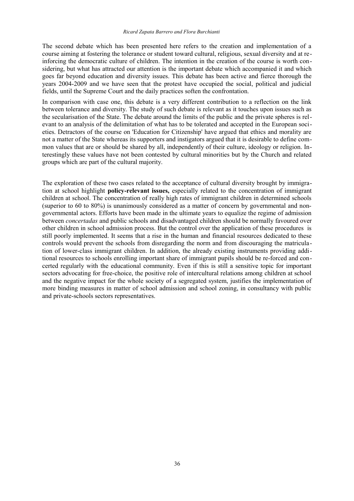The second debate which has been presented here refers to the creation and implementation of a course aiming at fostering the tolerance or student toward cultural, religious, sexual diversity and at reinforcing the democratic culture of children. The intention in the creation of the course is worth considering, but what has attracted our attention is the important debate which accompanied it and which goes far beyond education and diversity issues. This debate has been active and fierce thorough the years 2004-2009 and we have seen that the protest have occupied the social, political and judicial fields, until the Supreme Court and the daily practices soften the confrontation.

In comparison with case one, this debate is a very different contribution to a reflection on the link between tolerance and diversity. The study of such debate is relevant as it touches upon issues such as the secularisation of the State. The debate around the limits of the public and the private spheres is relevant to an analysis of the delimitation of what has to be tolerated and accepted in the European societies. Detractors of the course on 'Education for Citizenship' have argued that ethics and morality are not a matter of the State whereas its supporters and instigators argued that it is desirable to define common values that are or should be shared by all, independently of their culture, ideology or religion. Interestingly these values have not been contested by cultural minorities but by the Church and related groups which are part of the cultural majority.

The exploration of these two cases related to the acceptance of cultural diversity brought by immigration at school highlight **policy-relevant issues,** especially related to the concentration of immigrant children at school. The concentration of really high rates of immigrant children in determined schools (superior to 60 to 80%) is unanimously considered as a matter of concern by governmental and nongovernmental actors. Efforts have been made in the ultimate years to equalize the regime of admission between *concertadas* and public schools and disadvantaged children should be normally favoured over other children in school admission process. But the control over the application of these procedures is still poorly implemented. It seems that a rise in the human and financial resources dedicated to these controls would prevent the schools from disregarding the norm and from discouraging the matricula tion of lower-class immigrant children. In addition, the already existing instruments providing additional resources to schools enrolling important share of immigrant pupils should be re-forced and concerted regularly with the educational community. Even if this is still a sensitive topic for important sectors advocating for free-choice, the positive role of intercultural relations among children at school and the negative impact for the whole society of a segregated system, justifies the implementation of more binding measures in matter of school admission and school zoning, in consultancy with public and private-schools sectors representatives.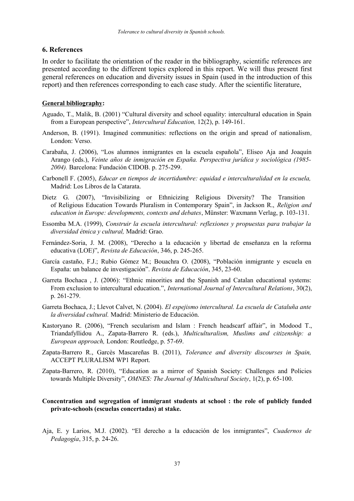#### **6. References**

In order to facilitate the orientation of the reader in the bibliography, scientific references are presented according to the different topics explored in this report. We will thus present first general references on education and diversity issues in Spain (used in the introduction of this report) and then references corresponding to each case study. After the scientific literature,

#### **General bibliography:**

- Aguado, T., Malik, B. (2001) "Cultural diversity and school equality: intercultural education in Spain from a European perspective", *Intercultural Education,* 12(2), p. 149-161.
- Anderson, B. (1991). [Imagined communities: reflections on the origin and spread of nationalism](http://books.google.co.in/books?id=4mmoZFtCpuoC)*,* London: Verso.
- Carabaña, J. (2006), "Los alumnos inmigrantes en la escuela española", Eliseo Aja and Joaquín Arango (eds.), *Veinte años de inmigración en España. Perspectiva jurídica y sociológica (1985- 2004).* Barcelona: Fundación CIDOB. p. 275-299.
- Carbonell F. (2005), *Educar en tiempos de incertidumbre: equidad e interculturalidad en la escuela,* Madrid: Los Libros de la Catarata.
- Dietz G. (2007), "Invisibilizing or Ethnicizing Religious Diversity? The Transition of Religious Education Towards Pluralism in Contemporary Spain", in Jackson R., *Religion and education in Europe: developments, contexts and debates*, Münster: Waxmann Verlag, p. 103-131.
- Essomba M.A. (1999), *Construir la escuela intercultural: reflexiones y propuestas para trabajar la diversidad étnica y cultural,* Madrid: Grao.
- Fernández-Soria, J. M. (2008), "Derecho a la educación y libertad de enseñanza en la reforma educativa (LOE)", *Revista de Educación*, 346, p. 245-265.
- García castaño, F.J.; Rubio Gómez M.; Bouachra O. (2008), "Población inmigrante y escuela en España: un balance de investigación". *Revista de Educación*, 345, 23-60.
- Garreta Bochaca , J. (2006): "Ethnic minorities and the Spanish and Catalan educational systems: From exclusion to intercultural education.", *International Journal of Intercultural Relations*, 30(2), p. 261-279.
- Garreta Bochaca, J.; Llevot Calvet, N. (2004). *El espejismo intercultural. La escuela de Cataluña ante la diversidad cultural.* Madrid: Ministerio de Educación.
- Kastoryano R. (2006), "French secularism and Islam : French headscarf affair", in [Modood](http://www.google.com/search?hl=es&tbo=p&tbm=bks&q=inauthor:) T., [Triandafyllidou](http://www.google.com/search?hl=es&tbo=p&tbm=bks&q=inauthor:) A., [Zapata-Barrero](http://www.google.com/search?hl=es&tbo=p&tbm=bks&q=inauthor:) R. (eds.), *Multiculturalism, Muslims and citizenship: a European approach,* London: Routledge, p. 57-69.
- Zapata-Barrero R., Garcès Mascareñas B. (2011), *Tolerance and diversity discourses in Spain,* ACCEPT PLURALISM WP1 Report.
- Zapata-Barrero, R. (2010), ["Education as a mirror of Spanish Society: Challenges and Policies](http://dcpis.upf.edu/~ricard-zapata/jms_education.pdf) [towards Multiple Diversity"](http://dcpis.upf.edu/~ricard-zapata/jms_education.pdf), *OMNES: The Journal of Multicultural Society*, 1(2), p. 65-100.

## **Concentration and segregation of immigrant students at school : the role of publicly funded private-schools (escuelas concertadas) at stake.**

Aja, E. y Larios, M.J. (2002). "El derecho a la educación de los inmigrantes", *Cuadernos de Pedagogía*, 315, p. 24-26.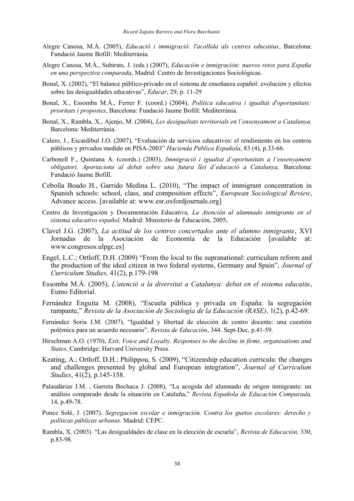- Alegre Canosa, M.À. (2005), *Educació i immigració: l'acollida als centres educatius*, Barcelona: Fundació Jaume Bofill: Mediterrània.
- Alegre Canosa, M.À., Subirats, J. (eds.) (2007), *Educación e inmigración: nuevos retos para España en una perspectiva comparada*, Madrid: Centro de Investigaciones Sociológicas.
- Bonal, X. (2002), "El balance público-privado en el sistema de enseñanza español: evolución y efectos sobre las desigualdades educativas", *Educar*, 29, p. 11-29
- Bonal, X., Essomba M.À., Ferrer F. (coord.) (2004), *Política educativa i igualtat d'oportunitats: prioritats i propostes*, Barcelona: Fundació Jaume Bofill: Mediterrània.
- Bonal, X., Rambla, X., Ajenjo, M. (2004), *Les desigualtats territorials en l'ensenyament a Catalunya.* Barcelona: Mediterrània.
- Calero, J., Escardíbul J.O. (2007), "Evaluación de servicios educativos: el rendimiento en los centros públicos y privados medido en PISA-2003" *Hacienda Pública Española*, 83 (4), p.33-66.
- Carbonell F., Quintana A. (coords.) (2003), *Immigració i igualtat d'oportunitats a l'ensenyament obligatori. Aportacions al debat sobre una futura llei d'educació a Catalunya,* Barcelona: Fundació Jaume Bofill.
- Cebolla Boado H., Garrido Medina L. (2010), "The impact of immigrant concentration in Spanish schools: school, class, and composition effects", *European Sociological Review*, Advance access. [available at: www.esr.oxfordjournals.org]
- Centro de Investigación y Documentación Educativa, *La Atención al alumnado inmigrante en el sistema educativo español,* Madrid: Ministerio de Educación, 2005**.**
- Clavel J.G. (2007), *La actitud de los centros concertados ante el alumno inmigrante*, XVI Jornadas de la Asociación de Economía de la Educación [available at: www.congresos.ulpgc.es]
- Engel, L.C.; Ortloff, D.H. (2009) "From the local to the supranational: curriculum reform and the production of the ideal citizen in two federal systems, Germany and Spain", *Journal of Curriculum Studies,* 41(2), p.179-198
- Essomba M.À. (2005), *L'atenció a la diversitat a Catalunya: debat en el sistema educatiu*, Eumo Editorial.
- Fernández Enguita M. (2008), "Escuela pública y privada en España: la segregación rampante," *Revista de la Asociación de Sociología de la Educación (RASE)*, 1(2), p.42-69.
- Fernández Soria J.M. (2007), "Igualdad y libertad de elección de centro docente: una cuestión polémica para un acuerdo necesario", *Revista de Educación*, 344. Sept-Dec, p.41-59.
- Hirschman A.O. (1970), *Exit, Voice and Loyalty. Responses to the decline in firms, organisations and States*, Cambridge: Harvard University Press.
- Keating, A.; Ortloff, D.H.; Philippou, S. (2009), "Citizenship education curricula: the changes and challenges presented by global and European integration", *Journal of Curriculum Studies*, 41(2), p.145-158.
- Palaudàrias J.M. , Garreta Bochaca J. (2008), "La acogida del alumnado de origen inmigrante: un análisis comparado desde la situación en Cataluña," *Revista Española de Educación Comparada,* 14, p.49-78.
- Ponce Solé, J. (2007). *Segregación escolar e inmigración. Contra los guetos escolares: derecho y políticas públicas urbanas*. Madrid: CEPC.
- Rambla, X. (2003). "Las desigualdades de clase en la elección de escuela", *Revista de Educación,* 330, p.83-98.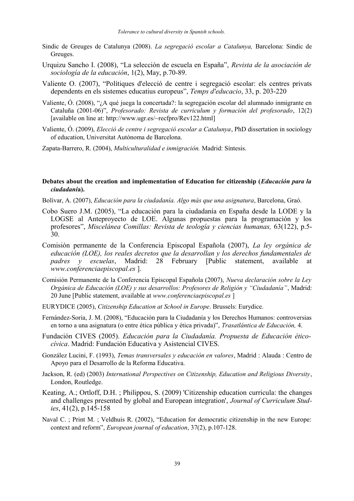- Sindic de Greuges de Catalunya (2008). *La segregació escolar a Catalunya,* Barcelona: Sindic de Greuges.
- Urquizu Sancho I. (2008), "La selección de escuela en España", *Revista de la asociación de sociología de la educación*, 1(2), May, p.70-89.
- Valiente O. (2007), "Polítiques d'elecció de centre i segregació escolar: els centres privats dependents en els sistemes educatius europeus", *Temps d'educacio*, 33, p. 203-220
- [Valiente,](http://dialnet.unirioja.es/servlet/autor?codigo=1389143) Ó. (2008), ["¿A qué juega la concertada?:](http://dialnet.unirioja.es/servlet/articulo?codigo=2741599) la segregación escolar del alumnado inmigrante en Cataluña (2001-06)", *[Profesorado: Revista de curriculum y formación del profesorado](http://dialnet.unirioja.es/servlet/revista?codigo=1066)*, [12\(2\)](http://dialnet.unirioja.es/servlet/listaarticulos?tipo_busqueda=EJEMPLAR&revista_busqueda=1066&clave_busqueda=202300) [available on line at: http://www.ugr.es/~recfpro/Rev122.html]
- Valiente, Ó. (2009), *Elecció de centre i segregació escolar a Catalunya*, PhD dissertation in sociology of education, Universitat Autónoma de Barcelona.
- Zapata-Barrero, R. (2004), *Multiculturalidad e inmigración.* Madrid: Síntesis.

### **Debates about the creation and implementation of Education for citizenship (***Educación para la ciudadaní***a).**

- Bolívar, A. (2007), *Educación para la ciudadanía. Algo más que una asignatura*, Barcelona, Graó.
- Cobo Suero J.M. (2005), "La educación para la ciudadanía en España desde la LODE y la LOGSE al Anteproyecto de LOE. Algunas propuestas para la programación y los profesores", *Miscelánea Comillas: Revista de teología y ciencias humanas,* 63(122), p.5- 30.
- Comisión permanente de la Conferencia Episcopal Española (2007), *La ley orgánica de educación (LOE), los reales decretos que la desarrollan y los derechos fundamentales de padres y escuelas*, Madrid: 28 February [Public statement, available at *www.conferenciaepiscopal.es* ].
- Comisión Permanente de la Conferencia Episcopal Española (2007), *Nueva declaración sobre la Ley Orgánica de Educación (LOE) y sus desarrollos: Profesores de Religión y "Ciudadanía"*, Madrid: 20 June [Public statement, available at *www.conferenciaepiscopal.es* ]
- EURYDICE (2005), *Citizenship Education at School in Europe*. Brussels: Eurydice.
- Fernández-Soria, J. M. (2008), "Educación para la Ciudadanía y los Derechos Humanos: controversias en torno a una asignatura (o entre ética pública y ética privada)", *Trasatlántica de Educación,* 4.
- Fundación CIVES (2005). *Educación para la Ciudadanía. Propuesta de Educación éticocívica*. Madrid: Fundación Educativa y Asistencial CIVES.
- González Lucini, F. (1993), *Temas transversales y educación en valores*, Madrid : Alauda : Centro de Apoyo para el Desarrollo de la Reforma Educativa.
- Jackson, R. (ed) (2003) *International Perspectives on Citizenship, Education and Religious Diversity*, London, Routledge.
- Keating, A.; Ortloff, D.H. ; Philippou, S. (2009) 'Citizenship education curricula: the changes and challenges presented by global and European integration', *Journal of Curriculum Studies*, 41(2), p.145-158
- Naval C. ; Print M. ; Veldhuis R. (2002), "Education for democratic citizenship in the new Europe: context and reform", *European journal of education*, 37(2), p.107-128.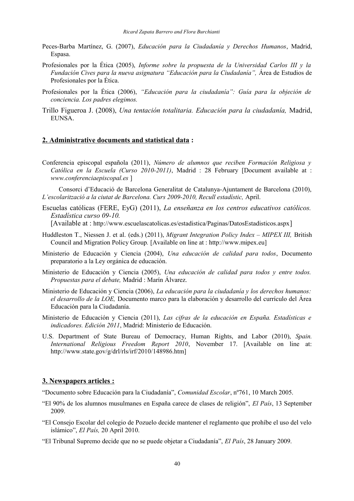- Peces-Barba Martínez, G. (2007), *Educación para la Ciudadanía y Derechos Humanos*, Madrid, Espasa.
- Profesionales por la Ética (2005), *Informe sobre la propuesta de la Universidad Carlos III y la Fundación Cives para la nueva asignatura "Educación para la Ciudadanía",* Área de Estudios de Profesionales por la Ética.
- Profesionales por la Ética (2006), *"Educación para la ciudadanía": Guía para la objeción de conciencia. Los padres elegimos.*
- Trillo Figueroa J. (2008), *Una tentación totalitaria. Educación para la ciudadanía,* Madrid, [EUNSA](http://www.laislalibros.com/busqueda/listaLibros.php?codEditorial=046).

## **2. Administrative documents and statistical data :**

Conferencia episcopal española (2011), *Número de alumnos que reciben Formación Religiosa y Católica en la Escuela (Curso 2010-2011)*, Madrid : 28 February [Document available at : *www.conferenciaepiscopal.es* ]

Consorci d'Educació de Barcelona Generalitat de Catalunya-Ajuntament de Barcelona (2010), *L'escolarització a la ciutat de Barcelona. Curs 2009-2010, Recull estadístic,* April.

Escuelas católicas (FERE, EyG) (2011), *La enseñanza en los centros educativos católicos. Estadística curso 09-10.*

[Available at : <http://www.escuelascatolicas.es/estadistica/Paginas/DatosEstadisticos.aspx>]

- Huddleston T., Niessen J. et al. (eds.) (2011), *Migrant Integration Policy Index MIPEX III,* British Council and Migration Policy Group*.* [Available on line at : [http://www.mipex.eu\]](http://www.mipex.eu/)
- Ministerio de Educación y Ciencia (2004), *Una educación de calidad para todos*, Documento preparatorio a la Ley orgánica de educación.
- Ministerio de Educación y Ciencia (2005), *Una educación de calidad para todos y entre todos. Propuestas para el debate,* Madrid : Marín Álvarez.
- Ministerio de Educación y Ciencia (2006), *La educación para la ciudadanía y los derechos humanos: el desarrollo de la LOE,* Documento marco para la elaboración y desarrollo del currículo del Área Educación para la Ciudadanía.
- Ministerio de Educación y Ciencia (2011), *Las cifras de la educación en España. Estadísticas e indicadores. Edición 2011*, Madrid: Ministerio de Educación.
- U.S. Department of State Bureau of Democracy, Human Rights, and Labor (2010), *Spain. [International Religious Freedom Report 2010](http://www.state.gov/g/drl/rls/irf/2010/index.htm)*, November 17. [Available on line at: http://www.state.gov/g/drl/rls/irf/2010/148986.htm]

## **3. Newspapers articles :**

"Documento sobre Educación para la Ciudadanía", *Comunidad Escolar*, nº761, 10 March 2005.

- "El 90% de los alumnos musulmanes en España carece de clases de religión", *El País*, 13 September 2009.
- "El Consejo Escolar del colegio de Pozuelo decide mantener el reglamento que prohíbe el uso del velo islámico", *El País,* 20 April 2010.
- "El Tribunal Supremo decide que no se puede objetar a Ciudadanía", *El País*, 28 January 2009.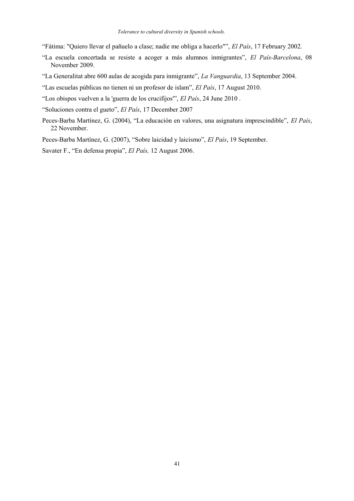"Fátima: "Quiero llevar el pañuelo a clase; nadie me obliga a hacerlo"", *El País*, 17 February 2002.

- "La escuela concertada se resiste a acoger a más alumnos inmigrantes", *El País-Barcelona*, 08 November 2009.
- "La Generalitat abre 600 aulas de acogida para inmigrante", *La Vanguardia*, 13 September 2004.
- "Las escuelas públicas no tienen ni un profesor de islam", *El País*, 17 August 2010.
- "Los obispos vuelven a la 'guerra de los crucifijos'", *El País*, 24 June 2010 .
- "Soluciones contra el gueto", *El País*, 17 December 2007
- Peces-Barba Martínez, G. (2004), "La educación en valores, una asignatura imprescindible", *El País*, 22 November.
- Peces-Barba Martínez, G. (2007), "Sobre laicidad y laicismo", *El País*, 19 September.
- Savater F., "En defensa propia", *El País,* 12 August 2006.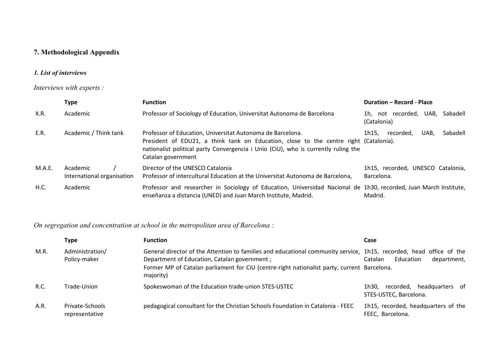# **7. Methodological Appendix**

## *1. List of interviews*

## *Interviews with experts :*

|        | Type                                   | <b>Function</b>                                                                                                                                                                                                                                                 | Duration - Record - Place                         |
|--------|----------------------------------------|-----------------------------------------------------------------------------------------------------------------------------------------------------------------------------------------------------------------------------------------------------------------|---------------------------------------------------|
| X.R.   | Academic                               | Professor of Sociology of Education, Universitat Autonoma de Barcelona                                                                                                                                                                                          | 1h, not recorded, UAB,<br>Sabadell<br>(Catalonia) |
| E.R.   | Academic / Think tank                  | Professor of Education, Universitat Autonoma de Barcelona.<br>President of EDU21, a think tank on Education, close to the centre right (Catalonia).<br>nationalist political party Convergencia i Unio (CiU), who is currently ruling the<br>Catalan government | UAB.<br>Sabadell<br>1h15.<br>recorded.            |
| M.A.E. | Academic<br>International organisation | Director of the UNESCO Catalonia<br>Professor of intercultural Education at the Universitat Autonoma de Barcelona,                                                                                                                                              | 1h15, recorded, UNESCO Catalonia,<br>Barcelona.   |
| H.C.   | Academic                               | Professor and researcher in Sociology of Education, Universidad Nacional de 1h30, recorded, Juan March Institute,<br>enseñanza a distancia (UNED) and Juan March Institute, Madrid.                                                                             | Madrid.                                           |

# *On segregation and concentration at school in the metropolitan area of Barcelona :*

|      | Type                              | <b>Function</b>                                                                                                                                                                                                                                                                  | Case                                                         |
|------|-----------------------------------|----------------------------------------------------------------------------------------------------------------------------------------------------------------------------------------------------------------------------------------------------------------------------------|--------------------------------------------------------------|
| M.R. | Administration/<br>Policy-maker   | General director of the Attention to families and educational community service, 1h15, recorded, head office of the<br>Department of Education, Catalan government ;<br>Former MP of Catalan parliament for CiU (centre-right nationalist party, current Barcelona.<br>majority) | Education<br>Catalan<br>department,                          |
| R.C. | Trade-Union                       | Spokeswoman of the Education trade-union STES-USTEC                                                                                                                                                                                                                              | recorded, headquarters of<br>1h30.<br>STES-USTEC, Barcelona. |
| A.R. | Private-Schools<br>representative | pedagogical consultant for the Christian Schools Foundation in Catalonia - FEEC                                                                                                                                                                                                  | 1h15, recorded, headquarters of the<br>FEEC, Barcelona.      |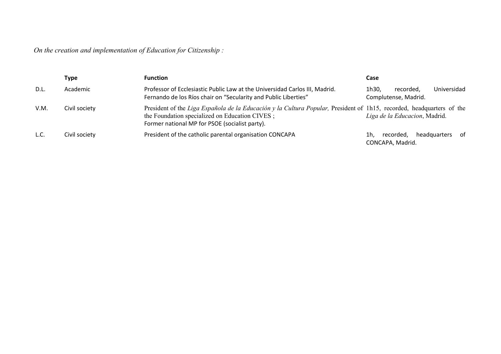*On the creation and implementation of Education for Citizenship :*

|      | Type          | <b>Function</b>                                                                                                                                                                                                           | Case                                                       |
|------|---------------|---------------------------------------------------------------------------------------------------------------------------------------------------------------------------------------------------------------------------|------------------------------------------------------------|
| D.L. | Academic      | Professor of Ecclesiastic Public Law at the Universidad Carlos III, Madrid.<br>Fernando de los Ríos chair on "Secularity and Public Liberties"                                                                            | Universidad<br>1h30.<br>recorded.<br>Complutense, Madrid.  |
| V.M. | Civil society | President of the Liga Española de la Educación y la Cultura Popular, President of 1h15, recorded, headquarters of the<br>the Foundation specialized on Education CIVES;<br>Former national MP for PSOE (socialist party). | Liga de la Educacion, Madrid.                              |
| L.C. | Civil society | President of the catholic parental organisation CONCAPA                                                                                                                                                                   | recorded.<br>headquarters<br>1h.<br>of<br>CONCAPA, Madrid. |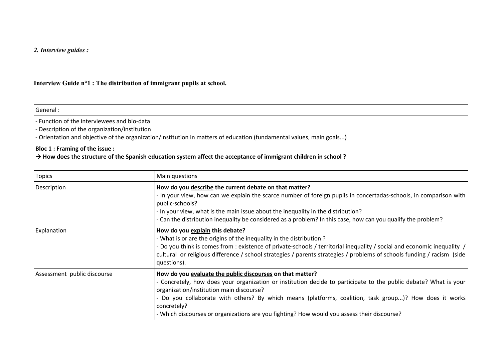## *2. Interview guides :*

## **Interview Guide n°1 : The distribution of immigrant pupils at school.**

| General:                                                                                     |                                                                                                                                                                                                                                                                                                                                                                                                                                                   |
|----------------------------------------------------------------------------------------------|---------------------------------------------------------------------------------------------------------------------------------------------------------------------------------------------------------------------------------------------------------------------------------------------------------------------------------------------------------------------------------------------------------------------------------------------------|
| - Function of the interviewees and bio-data<br>- Description of the organization/institution | Orientation and objective of the organization/institution in matters of education (fundamental values, main goals)                                                                                                                                                                                                                                                                                                                                |
| <b>Bloc 1: Framing of the issue:</b>                                                         | $\rightarrow$ How does the structure of the Spanish education system affect the acceptance of immigrant children in school?                                                                                                                                                                                                                                                                                                                       |
| <b>Topics</b>                                                                                | Main questions                                                                                                                                                                                                                                                                                                                                                                                                                                    |
| Description                                                                                  | How do you describe the current debate on that matter?<br>- In your view, how can we explain the scarce number of foreign pupils in concertadas-schools, in comparison with<br>public-schools?<br>- In your view, what is the main issue about the inequality in the distribution?<br>- Can the distribution inequality be considered as a problem? In this case, how can you qualify the problem?                                                |
| Explanation                                                                                  | How do you explain this debate?<br>- What is or are the origins of the inequality in the distribution?<br>Do you think is comes from : existence of private-schools / territorial inequality / social and economic inequality /<br>cultural or religious difference / school strategies / parents strategies / problems of schools funding / racism (side<br>questions).                                                                          |
| Assessment public discourse                                                                  | How do you evaluate the public discourses on that matter?<br>- Concretely, how does your organization or institution decide to participate to the public debate? What is your<br>organization/institution main discourse?<br>- Do you collaborate with others? By which means (platforms, coalition, task group)? How does it works<br>concretely?<br>- Which discourses or organizations are you fighting? How would you assess their discourse? |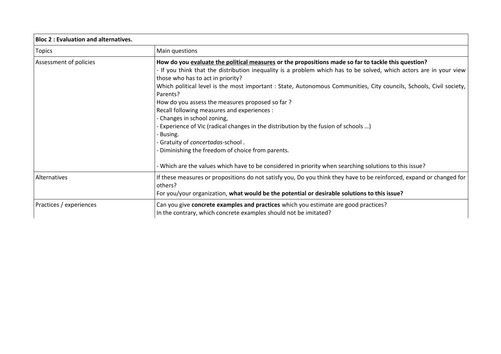| <b>Bloc 2: Evaluation and alternatives.</b> |                                                                                                                                                                                                                                                                                                                                                                                                                                                                                                                                                                                                                                                                                                                                                                                                                                            |
|---------------------------------------------|--------------------------------------------------------------------------------------------------------------------------------------------------------------------------------------------------------------------------------------------------------------------------------------------------------------------------------------------------------------------------------------------------------------------------------------------------------------------------------------------------------------------------------------------------------------------------------------------------------------------------------------------------------------------------------------------------------------------------------------------------------------------------------------------------------------------------------------------|
| <b>Topics</b>                               | Main questions                                                                                                                                                                                                                                                                                                                                                                                                                                                                                                                                                                                                                                                                                                                                                                                                                             |
| Assessment of policies                      | How do you evaluate the political measures or the propositions made so far to tackle this question?<br>- If you think that the distribution inequality is a problem which has to be solved, which actors are in your view<br>those who has to act in priority?<br>Which political level is the most important : State, Autonomous Communities, City councils, Schools, Civil society,<br>Parents?<br>How do you assess the measures proposed so far?<br>Recall following measures and experiences :<br>- Changes in school zoning,<br>- Experience of Vic (radical changes in the distribution by the fusion of schools )<br>- Busing.<br>- Gratuity of concertadas-school.<br>- Diminishing the freedom of choice from parents.<br>- Which are the values which have to be considered in priority when searching solutions to this issue? |
| Alternatives                                | If these measures or propositions do not satisfy you, Do you think they have to be reinforced, expand or changed for<br>others?<br>For you/your organization, what would be the potential or desirable solutions to this issue?                                                                                                                                                                                                                                                                                                                                                                                                                                                                                                                                                                                                            |
| Practices / experiences                     | Can you give concrete examples and practices which you estimate are good practices?<br>In the contrary, which concrete examples should not be imitated?                                                                                                                                                                                                                                                                                                                                                                                                                                                                                                                                                                                                                                                                                    |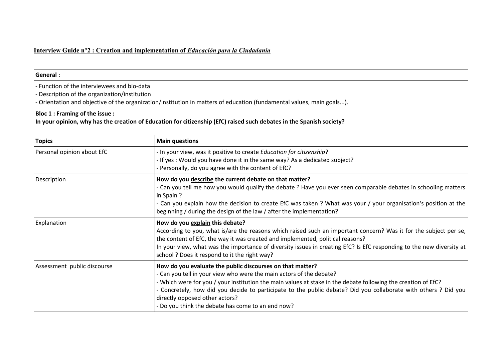## **Interview Guide n°2 : Creation and implementation of** *Educación para la Ciudadanía*

| General:                                                                                   |                                                                                                                                                                                                                                                                                                                                                                                                                                                             |
|--------------------------------------------------------------------------------------------|-------------------------------------------------------------------------------------------------------------------------------------------------------------------------------------------------------------------------------------------------------------------------------------------------------------------------------------------------------------------------------------------------------------------------------------------------------------|
| - Function of the interviewees and bio-data<br>Description of the organization/institution | Orientation and objective of the organization/institution in matters of education (fundamental values, main goals).                                                                                                                                                                                                                                                                                                                                         |
| <b>Bloc 1: Framing of the issue:</b>                                                       | In your opinion, why has the creation of Education for citizenship (EfC) raised such debates in the Spanish society?                                                                                                                                                                                                                                                                                                                                        |
| <b>Topics</b>                                                                              | <b>Main questions</b>                                                                                                                                                                                                                                                                                                                                                                                                                                       |
| Personal opinion about EfC                                                                 | - In your view, was it positive to create Education for citizenship?<br>- If yes: Would you have done it in the same way? As a dedicated subject?<br>- Personally, do you agree with the content of EfC?                                                                                                                                                                                                                                                    |
| Description                                                                                | How do you describe the current debate on that matter?<br>- Can you tell me how you would qualify the debate ? Have you ever seen comparable debates in schooling matters<br>in Spain?<br>- Can you explain how the decision to create EfC was taken? What was your / your organisation's position at the<br>beginning / during the design of the law / after the implementation?                                                                           |
| Explanation                                                                                | How do you explain this debate?<br>According to you, what is/are the reasons which raised such an important concern? Was it for the subject per se,<br>the content of EfC, the way it was created and implemented, political reasons?<br>In your view, what was the importance of diversity issues in creating EfC? Is EfC responding to the new diversity at<br>school ? Does it respond to it the right way?                                              |
| Assessment public discourse                                                                | How do you evaluate the public discourses on that matter?<br>- Can you tell in your view who were the main actors of the debate?<br>- Which were for you / your institution the main values at stake in the debate following the creation of EfC?<br>- Concretely, how did you decide to participate to the public debate? Did you collaborate with others ? Did you<br>directly opposed other actors?<br>- Do you think the debate has come to an end now? |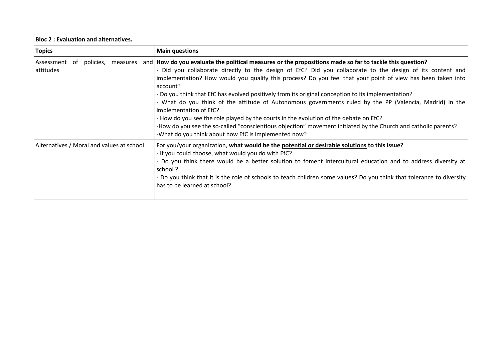| <b>Bloc 2: Evaluation and alternatives.</b> |                                                                                                                                                                                                                                                                                                                                                                                                                                                                                                                                                                                                                                                                                                                                                                                                                                                                                  |  |  |  |  |
|---------------------------------------------|----------------------------------------------------------------------------------------------------------------------------------------------------------------------------------------------------------------------------------------------------------------------------------------------------------------------------------------------------------------------------------------------------------------------------------------------------------------------------------------------------------------------------------------------------------------------------------------------------------------------------------------------------------------------------------------------------------------------------------------------------------------------------------------------------------------------------------------------------------------------------------|--|--|--|--|
| <b>Topics</b>                               | <b>Main questions</b>                                                                                                                                                                                                                                                                                                                                                                                                                                                                                                                                                                                                                                                                                                                                                                                                                                                            |  |  |  |  |
| Assessment of<br>attitudes                  | policies, measures and How do you evaluate the political measures or the propositions made so far to tackle this question?<br>- Did you collaborate directly to the design of EfC? Did you collaborate to the design of its content and<br>implementation? How would you qualify this process? Do you feel that your point of view has been taken into<br>account?<br>- Do you think that EfC has evolved positively from its original conception to its implementation?<br>- What do you think of the attitude of Autonomous governments ruled by the PP (Valencia, Madrid) in the<br>implementation of EfC?<br>- How do you see the role played by the courts in the evolution of the debate on EfC?<br>-How do you see the so-called "conscientious objection" movement initiated by the Church and catholic parents?<br>-What do you think about how EfC is implemented now? |  |  |  |  |
| Alternatives / Moral and values at school   | For you/your organization, what would be the potential or desirable solutions to this issue?<br>- If you could choose, what would you do with EfC?<br>- Do you think there would be a better solution to foment intercultural education and to address diversity at<br>school?<br>- Do you think that it is the role of schools to teach children some values? Do you think that tolerance to diversity<br>has to be learned at school?                                                                                                                                                                                                                                                                                                                                                                                                                                          |  |  |  |  |